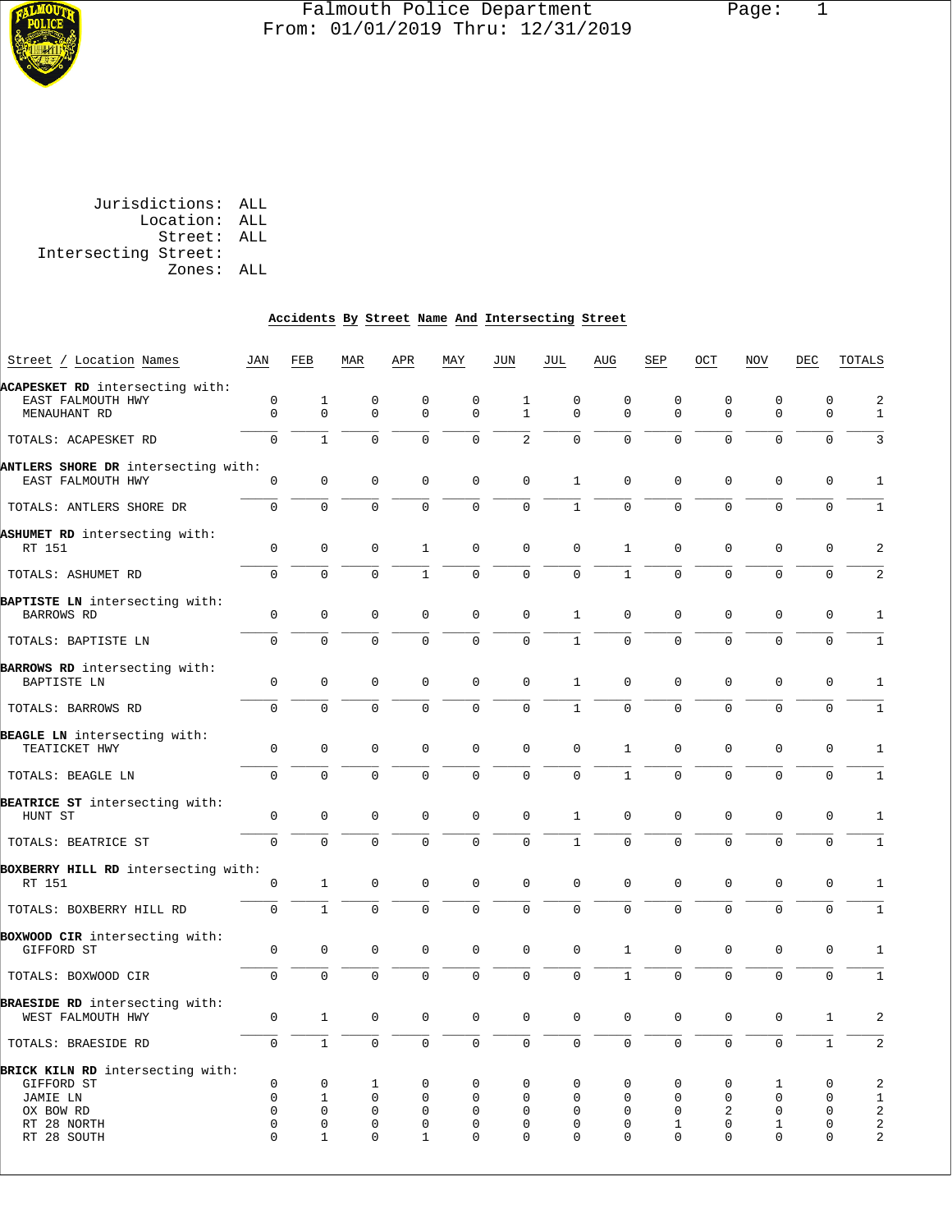

#### Falmouth Police Department Page: 1  $\frac{1}{3}$  From: 01/01/2019 Thru: 12/31/2019

| Jurisdictions: ALL |                      |
|--------------------|----------------------|
| Location: ALL      |                      |
| Street: ALL        |                      |
|                    | Intersecting Street: |
| Zones: ALL         |                      |
|                    |                      |

# **Accidents By Street Name And Intersecting Street**

| Street / Location Names                                                                               | JAN                                     | FEB                                                             | MAR                                                        | APR                                                 | MAY                                                         | JUN                                               | JUL                                                            | AUG                                                               | SEP                                               | OCT                                              | <b>NOV</b>                                                  | DEC                                                        | TOTALS                             |
|-------------------------------------------------------------------------------------------------------|-----------------------------------------|-----------------------------------------------------------------|------------------------------------------------------------|-----------------------------------------------------|-------------------------------------------------------------|---------------------------------------------------|----------------------------------------------------------------|-------------------------------------------------------------------|---------------------------------------------------|--------------------------------------------------|-------------------------------------------------------------|------------------------------------------------------------|------------------------------------|
| ACAPESKET RD intersecting with:<br>EAST FALMOUTH HWY<br>MENAUHANT RD                                  | $\mathbf 0$<br>$\Omega$                 | $\mathbf 1$<br>$\Omega$                                         | $\mathbf 0$<br>$\Omega$                                    | $\mathbf 0$<br>$\Omega$                             | $\mathbf 0$<br>$\Omega$                                     | $\mathbf{1}$<br>$\mathbf{1}$                      | $\mathbf 0$<br>$\Omega$                                        | $\mathsf 0$<br>$\Omega$                                           | 0<br>$\Omega$                                     | $\mathsf 0$<br>$\Omega$                          | $\mathsf 0$<br>$\Omega$                                     | $\mathbf 0$<br>$\Omega$                                    | $\overline{a}$<br>$\mathbf{1}$     |
| TOTALS: ACAPESKET RD                                                                                  | $\Omega$                                | $\mathbf{1}$                                                    | $\mathbf{0}$                                               | $\Omega$                                            | 0                                                           | $\overline{2}$                                    | $\mathbf 0$                                                    | $\mathbf 0$                                                       | $\mathbf 0$                                       | $\mathbf 0$                                      | $\mathbf 0$                                                 | $\Omega$                                                   | 3                                  |
| ANTLERS SHORE DR intersecting with:<br>EAST FALMOUTH HWY                                              | $\Omega$                                | $\mathsf{O}\xspace$                                             | $\Omega$                                                   | $\Omega$                                            | $\mathsf 0$                                                 | $\Omega$                                          | $1\,$                                                          | $\Omega$                                                          | $\mathsf 0$                                       | $\mathsf{O}\xspace$                              | $\mathsf 0$                                                 | $\mathsf 0$                                                | 1                                  |
| TOTALS: ANTLERS SHORE DR                                                                              | $\mathbf 0$                             | $\mathbf 0$                                                     | $\overline{0}$                                             | $\mathbf 0$                                         | $\mathbf 0$                                                 | $\mathbf 0$                                       | $\mathbf{1}$                                                   | $\mathbf 0$                                                       | $\Omega$                                          | $\mathbf 0$                                      | $\mathbf 0$                                                 | $\mathbf 0$                                                | $\mathbf{1}$                       |
| ASHUMET RD intersecting with:<br>RT 151                                                               | $\mathsf 0$                             | $\mathsf{O}\xspace$                                             | $\mathsf{O}\xspace$                                        | 1                                                   | $\mathsf 0$                                                 | $\mathsf{O}\xspace$                               | $\mathsf 0$                                                    | 1                                                                 | 0                                                 | $\mathsf{O}\xspace$                              | $\Omega$                                                    | $\mathsf 0$                                                | $\overline{a}$                     |
| TOTALS: ASHUMET RD                                                                                    | $\mathbf 0$                             | $\Omega$                                                        | $\Omega$                                                   | $\mathbf{1}$                                        | 0                                                           | $\mathbf 0$                                       | $\mathsf{O}$                                                   | $\mathbf{1}$                                                      | $\Omega$                                          | $\mathbf 0$                                      | $\mathbf{0}$                                                | $\mathbf 0$                                                | 2                                  |
| <b>BAPTISTE LN</b> intersecting with:<br>BARROWS RD                                                   | $\mathsf 0$                             | $\Omega$                                                        | $\Omega$                                                   | $\Omega$                                            | $\Omega$                                                    | $\Omega$                                          | $\mathbf{1}$                                                   | $\Omega$                                                          | $\Omega$                                          | $\mathsf{O}\xspace$                              | $\Omega$                                                    | $\mathsf 0$                                                | $1\,$                              |
| TOTALS: BAPTISTE LN                                                                                   | $\mathbf 0$                             | $\Omega$                                                        | $\Omega$                                                   | $\Omega$                                            | $\Omega$                                                    | $\Omega$                                          | $\mathbf{1}$                                                   | $\Omega$                                                          | $\Omega$                                          | $\Omega$                                         | $\Omega$                                                    | $\Omega$                                                   | $\mathbf{1}$                       |
| BARROWS RD intersecting with:<br>BAPTISTE LN                                                          | 0                                       | $\Omega$                                                        | $\Omega$                                                   | $\Omega$                                            | $\mathbf 0$                                                 | $\Omega$                                          | $\mathbf{1}$                                                   | $\Omega$                                                          | $\Omega$                                          | $\Omega$                                         | $\Omega$                                                    | $\mathsf 0$                                                | $1\,$                              |
| TOTALS: BARROWS RD                                                                                    | $\mathbf 0$                             | $\mathbf 0$                                                     | $\mathbf 0$                                                | $\mathbf 0$                                         | 0                                                           | $\mathbf 0$                                       | $1\,$                                                          | $\mathbf 0$                                                       | $\mathbf 0$                                       | $\mathbf 0$                                      | $\mathbf 0$                                                 | $\mathbf 0$                                                | $\mathbf{1}$                       |
| BEAGLE LN intersecting with:<br>TEATICKET HWY                                                         | $\Omega$                                | $\Omega$                                                        | $\Omega$                                                   | $\Omega$                                            | $\Omega$                                                    | $\Omega$                                          | $\Omega$                                                       | $\mathbf{1}$                                                      | $\Omega$                                          | $\Omega$                                         | $\Omega$                                                    | $\Omega$                                                   | $\mathbf{1}$                       |
| TOTALS: BEAGLE LN                                                                                     | $\overline{0}$                          | $\mathbf 0$                                                     | $\mathbf 0$                                                | 0                                                   | 0                                                           | $\mathbf 0$                                       | $\mathbf 0$                                                    | $\mathbf{1}$                                                      | $\overline{0}$                                    | $\mathbf 0$                                      | $\mathbf 0$                                                 | 0                                                          | $\mathbf{1}$                       |
| BEATRICE ST intersecting with:<br>HUNT ST                                                             | $\mathsf 0$                             | $\mathsf{O}\xspace$                                             | $\mathsf{O}\xspace$                                        | $\Omega$                                            | 0                                                           | $\mathsf{O}\xspace$                               | $1\,$                                                          | 0                                                                 | 0                                                 | $\mathsf{O}\xspace$                              | 0                                                           | 0                                                          | 1                                  |
| TOTALS: BEATRICE ST                                                                                   | $\mathbf 0$                             | $\Omega$                                                        | $\mathbf 0$                                                | $\mathbf 0$                                         | $\mathbf 0$                                                 | $\mathbf 0$                                       | $\mathbf{1}$                                                   | $\mathbf 0$                                                       | $\overline{0}$                                    | $\mathbf 0$                                      | $\mathbf 0$                                                 | $\mathbf 0$                                                | $\mathbf 1$                        |
| BOXBERRY HILL RD intersecting with:<br>RT 151                                                         | 0                                       | $\mathbf{1}$                                                    | $\mathsf{O}\xspace$                                        | $\mathbf 0$                                         | $\mathsf 0$                                                 | $\mathsf{O}\xspace$                               | $\mathsf 0$                                                    | 0                                                                 | 0                                                 | $\mathsf{O}\xspace$                              | $\mathsf 0$                                                 | $\mathsf 0$                                                | $\mathbf{1}$                       |
| TOTALS: BOXBERRY HILL RD                                                                              | $\mathbf 0$                             | $\mathbf{1}$                                                    | $\mathbf 0$                                                | $\mathbf 0$                                         | 0                                                           | $\mathbf 0$                                       | $\mathbf 0$                                                    | $\mathbf 0$                                                       | $\Omega$                                          | $\mathbf 0$                                      | $\mathbf 0$                                                 | $\mathbf 0$                                                | $\mathbf{1}$                       |
| BOXWOOD CIR intersecting with:<br>GIFFORD ST                                                          | $\mathsf 0$                             | $\Omega$                                                        | $\Omega$                                                   | $\Omega$                                            | $\Omega$                                                    | $\Omega$                                          | $\Omega$                                                       | $\mathbf{1}$                                                      | $\Omega$                                          | $\Omega$                                         | $\Omega$                                                    | $\Omega$                                                   | $\mathbf{1}$                       |
| TOTALS: BOXWOOD CIR                                                                                   | 0                                       | 0                                                               | $\mathbf 0$                                                | $\mathbf 0$                                         | 0                                                           | $\mathbf 0$                                       | $\mathbf 0$                                                    | $\mathbf{1}$                                                      | $\mathbf 0$                                       | $\mathbf 0$                                      | $\mathbf{0}$                                                | $\mathbf 0$                                                | $1\,$                              |
| BRAESIDE RD intersecting with:<br>WEST FALMOUTH HWY                                                   | 0                                       | $\mathbf{1}$                                                    | $\Omega$                                                   | $\Omega$                                            | $\Omega$                                                    | $\Omega$                                          | $\Omega$                                                       | $\Omega$                                                          | $\Omega$                                          | $\Omega$                                         | $\Omega$                                                    | 1                                                          | $\overline{a}$                     |
| TOTALS: BRAESIDE RD                                                                                   | $\mathsf{O}\xspace$                     | $\mathbf{1}$                                                    | $\mathbf 0$                                                | $\mathbf 0$                                         | 0                                                           | $\mathbf 0$                                       | $\mathsf{O}$                                                   | $\mathbf 0$                                                       | $\mathbf 0$                                       | $\mathbf 0$                                      | $\mathbf 0$                                                 | $\mathbf{1}$                                               | 2                                  |
| BRICK KILN RD intersecting with:<br>GIFFORD ST<br>JAMIE LN<br>OX BOW RD<br>RT 28 NORTH<br>RT 28 SOUTH | 0<br>0<br>0<br>$\mathbf{0}$<br>$\Omega$ | 0<br>$\mathbf{1}$<br>$\mathbf 0$<br>$\mathbf 0$<br>$\mathbf{1}$ | 1<br>$\mathbf 0$<br>$\mathbf 0$<br>$\mathbf 0$<br>$\Omega$ | 0<br>$\mathbf 0$<br>$\mathbf 0$<br>$\mathbf 0$<br>1 | $\Omega$<br>$\Omega$<br>$\mathbf 0$<br>$\Omega$<br>$\Omega$ | $\Omega$<br>$\Omega$<br>$\Omega$<br>0<br>$\Omega$ | $\Omega$<br>$\Omega$<br>$\mathbf 0$<br>$\mathbf 0$<br>$\Omega$ | $\Omega$<br>$\mathbf 0$<br>$\mathbf 0$<br>$\mathbf 0$<br>$\Omega$ | 0<br>$\mathbf 0$<br>0<br>$\mathbf{1}$<br>$\Omega$ | 0<br>$\mathbf 0$<br>2<br>$\mathbf 0$<br>$\Omega$ | 1<br>$\mathbf 0$<br>$\mathsf 0$<br>$\mathbf{1}$<br>$\Omega$ | 0<br>$\mathbf 0$<br>$\mathbf 0$<br>$\mathbf 0$<br>$\Omega$ | $\sqrt{2}$<br>$1\,$<br>2<br>2<br>2 |
|                                                                                                       |                                         |                                                                 |                                                            |                                                     |                                                             |                                                   |                                                                |                                                                   |                                                   |                                                  |                                                             |                                                            |                                    |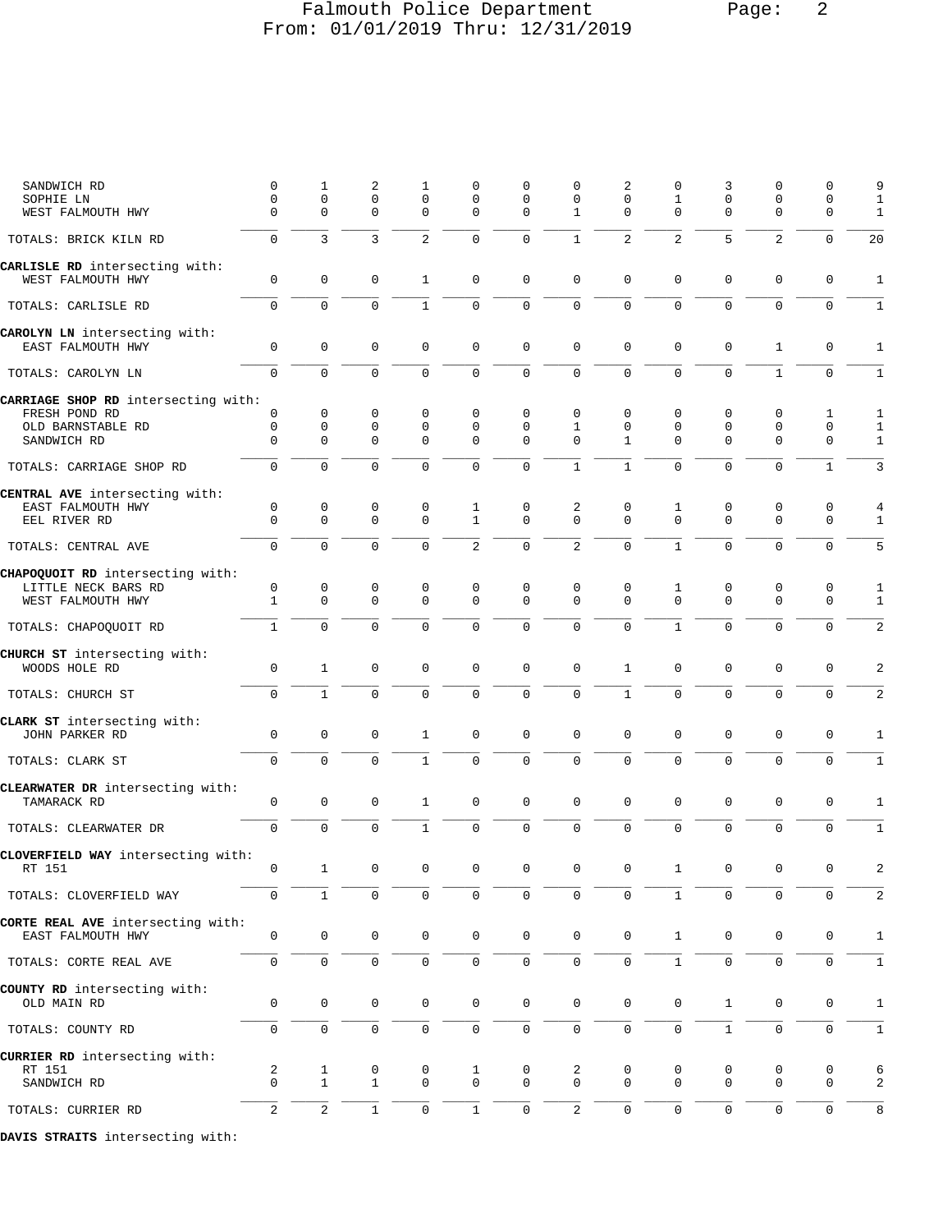## Falmouth Police Department Page: 2 From: 01/01/2019 Thru: 12/31/2019

| SANDWICH RD<br>SOPHIE LN<br>WEST FALMOUTH HWY      | 0<br>$\mathbf{0}$<br>$\Omega$ | 1<br>$\mathbf 0$<br>$\mathbf 0$ | 2<br>$\mathbf 0$<br>$\mathbf 0$ | 1<br>$\mathbf 0$<br>$\mathbf 0$ | 0<br>$\mathbf 0$<br>$\mathbf 0$ | 0<br>$\mathbf 0$<br>$\Omega$ | $\Omega$<br>$\mathbf 0$<br>$\mathbf{1}$ | 2<br>$\mathbf 0$<br>$\Omega$ | 0<br>$\mathbf{1}$<br>$\mathbf 0$ | 3<br>$\mathbf 0$<br>$\mathbf{0}$ | 0<br>$\mathbf 0$<br>$\mathbf 0$ | 0<br>$\mathbf 0$<br>$\mathbf 0$ | 9<br>1<br>1    |
|----------------------------------------------------|-------------------------------|---------------------------------|---------------------------------|---------------------------------|---------------------------------|------------------------------|-----------------------------------------|------------------------------|----------------------------------|----------------------------------|---------------------------------|---------------------------------|----------------|
| TOTALS: BRICK KILN RD                              | $\Omega$                      | $\overline{3}$                  | $\overline{3}$                  | 2                               | $\mathbf 0$                     | $\mathbf 0$                  | $\mathbf{1}$                            | $\overline{2}$               | 2                                | 5                                | 2                               | $\mathbf 0$                     | 20             |
| CARLISLE RD intersecting with:                     |                               |                                 |                                 |                                 |                                 |                              |                                         |                              |                                  |                                  |                                 |                                 |                |
| WEST FALMOUTH HWY                                  | $\mathsf 0$                   | $\mathbf 0$                     | 0                               | 1                               | $\mathbf 0$                     | $\mathbf 0$                  | 0                                       | 0                            | 0                                | 0                                | 0                               | $\mathbf 0$                     | $\mathbf{1}$   |
| TOTALS: CARLISLE RD                                | 0                             | $\mathbf 0$                     | $\mathbf 0$                     | $\mathbf{1}$                    | $\mathsf{O}\xspace$             | $\mathsf 0$                  | 0                                       | 0                            | $\mathbf 0$                      | $\mathbf 0$                      | $\mathbf 0$                     | $\mathbf 0$                     | 1              |
| CAROLYN LN intersecting with:<br>EAST FALMOUTH HWY | $\mathbf 0$                   | $\mathbf 0$                     | $\mathbf 0$                     | $\mathbf 0$                     | $\mathbf 0$                     | $\mathbf 0$                  | $\mathbf 0$                             | 0                            | $\mathbf 0$                      | $\mathbf{0}$                     | $\mathbf{1}$                    | $\mathbf 0$                     | $\mathbf{1}$   |
| TOTALS: CAROLYN LN                                 | 0                             | $\mathbf 0$                     | $\mathbf 0$                     | 0                               | $\mathbf 0$                     | $\mathbf 0$                  | 0                                       | $\overline{0}$               | $\mathbf 0$                      | $\mathbf{0}$                     | $\mathbf{1}$                    | $\mathbf 0$                     | $\mathbf{1}$   |
| CARRIAGE SHOP RD intersecting with:                |                               |                                 |                                 |                                 |                                 |                              |                                         |                              |                                  |                                  |                                 |                                 |                |
| FRESH POND RD                                      | 0                             | 0                               | 0                               | 0                               | $\mathbf 0$                     | 0                            | 0                                       | 0                            | 0                                | 0                                | 0                               | 1                               | 1              |
| OLD BARNSTABLE RD                                  | 0                             | $\mathbf 0$                     | 0                               | $\mathbf 0$                     | $\mathbf 0$                     | 0                            | 1                                       | 0                            | 0                                | $\mathbf 0$                      | $\mathbf 0$                     | $\mathbf 0$                     | 1              |
| SANDWICH RD                                        | $\mathbf 0$                   | 0                               | $\mathbf 0$                     | $\mathbf 0$                     | $\Omega$                        | $\Omega$                     | $\Omega$                                | $\mathbf{1}$                 | $\Omega$                         | $\Omega$                         | $\mathbf 0$                     | $\mathbf 0$                     | 1              |
| TOTALS: CARRIAGE SHOP RD                           | 0                             | $\mathbf 0$                     | $\Omega$                        | 0                               | $\mathbf 0$                     | $\mathbf 0$                  | $\mathbf{1}$                            | $\mathbf{1}$                 | $\mathbf 0$                      | $\Omega$                         | $\mathbf 0$                     | $\mathbf{1}$                    | 3              |
| CENTRAL AVE intersecting with:                     |                               |                                 |                                 |                                 |                                 |                              |                                         |                              |                                  |                                  |                                 |                                 |                |
| EAST FALMOUTH HWY                                  | 0                             | 0                               | 0                               | 0                               | $\mathbf{1}$                    | 0                            | 2                                       | 0                            | 1                                | 0                                | 0                               | 0                               |                |
| EEL RIVER RD                                       | $\Omega$                      | $\mathbf 0$                     | $\Omega$                        | $\mathbf 0$                     | $\mathbf{1}$                    | $\Omega$                     | $\Omega$                                | $\Omega$                     | $\Omega$                         | $\Omega$                         | $\mathbf 0$                     | $\mathbf 0$                     | 1              |
| TOTALS: CENTRAL AVE                                | $\overline{0}$                | $\mathbf 0$                     | $\mathbf 0$                     | $\Omega$                        | 2                               | $\mathbf 0$                  | $\overline{2}$                          | $\mathbf 0$                  | $\mathbf{1}$                     | $\mathbf{0}$                     | $\mathbf 0$                     | $\mathbf 0$                     | 5              |
| CHAPOQUOIT RD intersecting with:                   |                               |                                 |                                 |                                 |                                 |                              |                                         |                              |                                  |                                  |                                 |                                 |                |
| LITTLE NECK BARS RD                                | 0                             | 0                               | 0                               | 0                               | 0                               | 0                            | 0                                       | 0                            | 1                                | 0                                | 0                               | 0                               | 1              |
| WEST FALMOUTH HWY                                  | $\mathbf{1}$                  | $\mathbf 0$                     | $\mathbf 0$                     | $\Omega$                        | $\mathbf 0$                     | $\mathbf 0$                  | $\Omega$                                | $\Omega$                     | $\mathbf 0$                      | $\mathbf 0$                      | $\Omega$                        | $\mathbf 0$                     | 1              |
| TOTALS: CHAPOQUOIT RD                              | $\mathbf{1}$                  | $\mathbf 0$                     | $\mathbf 0$                     | $\Omega$                        | $\Omega$                        | $\mathbf 0$                  | $\mathbf 0$                             | $\Omega$                     | $\mathbf{1}$                     | $\mathbf 0$                      | $\Omega$                        | $\mathbf 0$                     | 2              |
| CHURCH ST intersecting with:<br>WOODS HOLE RD      | 0                             | $\mathbf{1}$                    | 0                               | $\mathbf 0$                     | $\mathbf 0$                     | 0                            | $\mathbf 0$                             | 1                            | 0                                | $\mathbf 0$                      | 0                               | $\mathbf 0$                     | 2              |
| TOTALS: CHURCH ST                                  | 0                             | $\mathbf{1}$                    | $\mathbf 0$                     | $\mathbf 0$                     | $\mathbf 0$                     | $\mathbf 0$                  | 0                                       | $\mathbf 1$                  | $\mathbf 0$                      | $\mathbf 0$                      | $\mathbf 0$                     | $\mathsf 0$                     | 2              |
| CLARK ST intersecting with:                        |                               |                                 |                                 |                                 |                                 |                              |                                         |                              |                                  |                                  |                                 |                                 |                |
| JOHN PARKER RD                                     | 0                             | $\mathsf 0$                     | 0                               | 1                               | $\mathbf 0$                     | $\mathbf 0$                  | $\mathbf 0$                             | 0                            | $\mathsf 0$                      | $\mathbf 0$                      | 0                               | 0                               | 1              |
| TOTALS: CLARK ST                                   | $\mathbf{0}$                  | $\mathbf 0$                     | $\mathbf 0$                     | $\mathbf{1}$                    | $\mathbf 0$                     | $\mathbf 0$                  | $\Omega$                                | 0                            | $\mathbf 0$                      | $\mathbf{0}$                     | $\mathbf 0$                     | $\mathbf 0$                     | 1              |
| CLEARWATER DR intersecting with:                   |                               |                                 |                                 |                                 |                                 |                              |                                         |                              |                                  |                                  |                                 |                                 |                |
| TAMARACK RD                                        | 0                             | $\mathsf{O}\xspace$             | $\mathbf 0$                     | 1                               | $\mathbf 0$                     | $\mathsf 0$                  | $\mathbf 0$                             | 0                            | $\mathsf 0$                      | $\mathbf{0}$                     | $\mathbf 0$                     | $\mathsf 0$                     | 1              |
| TOTALS: CLEARWATER DR                              | 0                             | $\mathbf 0$                     | $\mathbf 0$                     | $\mathbf{1}$                    | $\mathbf 0$                     | $\mathsf 0$                  | 0                                       | 0                            | $\mathbf 0$                      | $\mathbf 0$                      | $\mathbf 0$                     | $\mathbf 0$                     | $\mathbf{1}$   |
| CLOVERFIELD WAY intersecting with:                 |                               |                                 |                                 |                                 |                                 |                              |                                         |                              |                                  |                                  |                                 |                                 |                |
| RT 151                                             | $\cap$                        | 1                               | $\bigcap$                       | $\overline{0}$                  | $\cap$                          | $\cap$                       | $\cap$                                  | $\cap$                       | $\sim$ 1                         | $\cap$                           | $\Omega$                        | $\Omega$                        | $\overline{2}$ |
| TOTALS: CLOVERFIELD WAY                            | $\Omega$                      | $\mathbf{1}$                    | $\mathbf 0$                     | $\Omega$                        | $\mathbf 0$                     | $\mathbf 0$                  | $\Omega$                                | $\overline{0}$               | $\mathbf{1}$                     | $\mathbf{0}$                     | $\Omega$                        | $\mathbf 0$                     | 2              |
| CORTE REAL AVE intersecting with:                  |                               |                                 |                                 |                                 |                                 |                              |                                         |                              |                                  |                                  |                                 |                                 |                |
| EAST FALMOUTH HWY                                  | $\mathsf 0$                   | 0                               | $\mathbf 0$                     | 0                               | $\mathbf 0$                     | $\mathbf 0$                  | $\mathbf 0$                             | $\mathsf 0$                  | $\mathbf{1}$                     | 0                                | 0                               | 0                               | 1              |
| TOTALS: CORTE REAL AVE                             | $\mathbf 0$                   | $\mathsf{O}$                    | $\mathsf 0$                     | $\mathbf 0$                     | $\mathsf 0$                     | $\mathsf 0$                  | $\mathbf 0$                             | 0                            | $\mathbf{1}$                     | $\mathbf 0$                      | $\mathbf 0$                     | $\mathbf 0$                     | $\mathbf{1}$   |
|                                                    |                               |                                 |                                 |                                 |                                 |                              |                                         |                              |                                  |                                  |                                 |                                 |                |
| COUNTY RD intersecting with:<br>OLD MAIN RD        | 0                             | $\mathbf 0$                     | 0                               | 0                               | $\mathsf{O}\xspace$             | $\mathbf 0$                  | $\mathbf 0$                             | 0                            | 0                                | $\mathbf{1}$                     | 0                               | 0                               | $\mathbf{1}$   |
| TOTALS: COUNTY RD                                  | 0                             | 0                               | $\mathbf 0$                     | 0                               | $\mathsf 0$                     | $\mathbf 0$                  | $\mathbf 0$                             | 0                            | 0                                | $\mathbf{1}$                     | $\mathbf 0$                     | $\mathbf 0$                     | 1              |
| CURRIER RD intersecting with:                      |                               |                                 |                                 |                                 |                                 |                              |                                         |                              |                                  |                                  |                                 |                                 |                |
| RT 151                                             | 2                             | $\mathbf{1}$                    | 0                               | 0                               | $\mathbf{1}$                    | 0                            | 2                                       | 0                            | 0                                | 0                                | 0                               | 0                               | 6              |
| SANDWICH RD                                        | $\mathbf 0$                   | $\mathbf{1}$                    | $\mathbf{1}$                    | $\mathbf 0$                     | $\mathbf 0$                     | $\mathbf 0$                  | $\mathbf 0$                             | $\mathbf{0}$                 | $\mathbf 0$                      | 0                                | 0                               | 0                               | 2              |
| TOTALS: CURRIER RD                                 | 2                             | 2                               | $\mathbf 1$                     | $\mathbf 0$                     | $1\,$                           | $\mathbb O$                  | $\overline{\mathbf{c}}$                 | 0                            | 0                                | $\mathsf{O}\xspace$              | $\mathbf 0$                     | $\mathsf{O}\xspace$             | 8              |
|                                                    |                               |                                 |                                 |                                 |                                 |                              |                                         |                              |                                  |                                  |                                 |                                 |                |

**DAVIS STRAITS** intersecting with: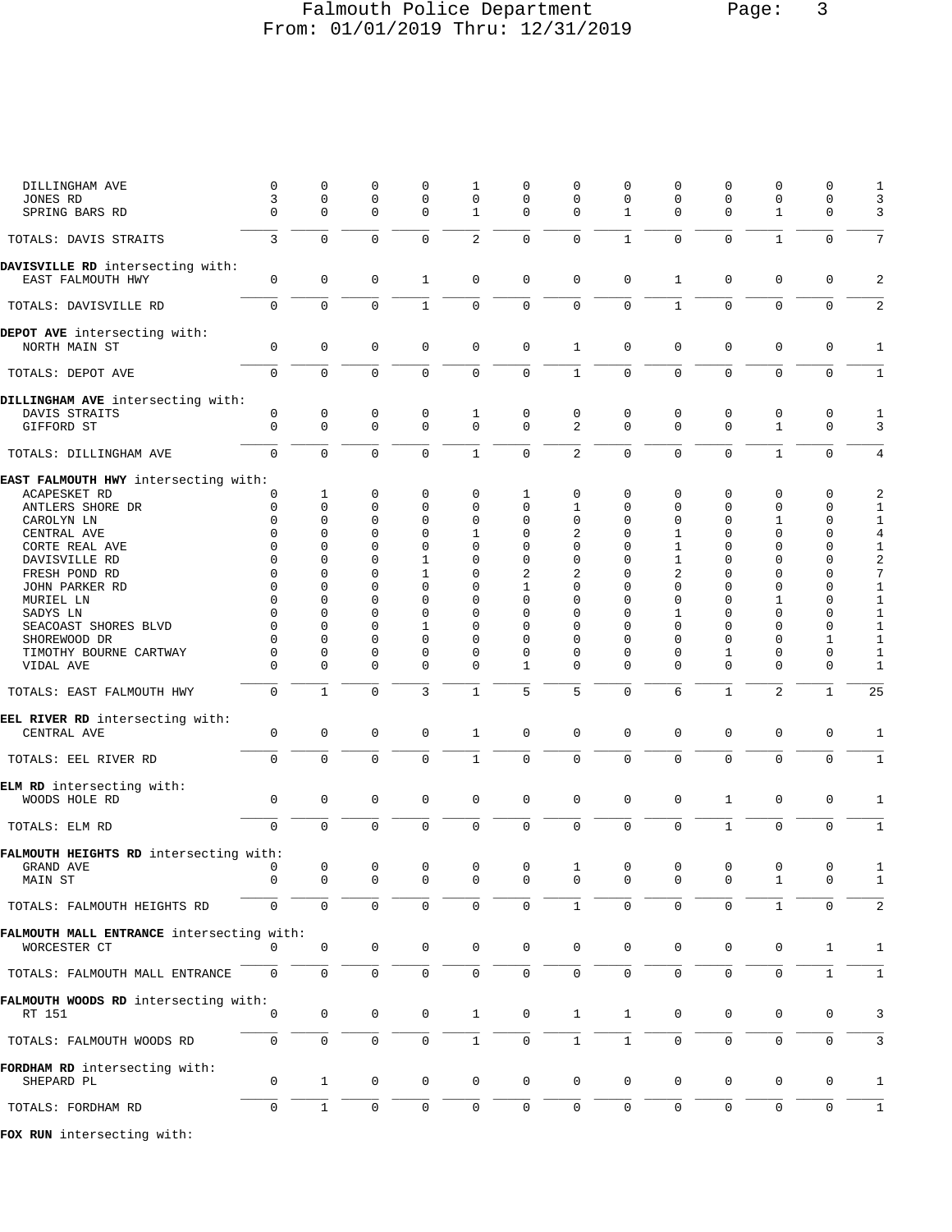## Falmouth Police Department Page: 3 From: 01/01/2019 Thru: 12/31/2019

| DILLINGHAM AVE                            | 0                   | $\mathbf 0$         | 0              | 0                   | 1                 | 0                   | 0              | 0              | 0              | $\mathbf 0$         | 0                   | 0                   | 1                       |
|-------------------------------------------|---------------------|---------------------|----------------|---------------------|-------------------|---------------------|----------------|----------------|----------------|---------------------|---------------------|---------------------|-------------------------|
| JONES RD                                  | 3<br>$\Omega$       | 0                   | 0<br>$\Omega$  | $\mathbf 0$         | 0                 | 0                   | 0<br>$\Omega$  | 0              | 0              | $\mathbf 0$         | $\mathbf 0$         | 0                   | 3                       |
| SPRING BARS RD                            |                     | 0                   |                | $\mathbf 0$         | 1                 | 0                   |                | 1              | 0              | $\mathbf 0$         | 1                   | 0                   | 3                       |
| TOTALS: DAVIS STRAITS                     | 3                   | $\mathbf 0$         | $\mathbf 0$    | $\mathbf 0$         | 2                 | $\mathbf 0$         | $\mathbf 0$    | $\mathbf{1}$   | $\mathbf 0$    | $\mathbf{0}$        | 1                   | $\mathbf 0$         | 7                       |
| DAVISVILLE RD intersecting with:          |                     |                     |                |                     |                   |                     |                |                |                |                     |                     |                     |                         |
| EAST FALMOUTH HWY                         | $\mathbf 0$         | $\mathbf 0$         | $\mathbf 0$    | 1                   | $\mathbf 0$       | $\mathbf 0$         | $\mathbf 0$    | 0              | $\mathbf 1$    | $\mathbf 0$         | $\mathbf 0$         | $\mathbf 0$         | $\overline{a}$          |
| TOTALS: DAVISVILLE RD                     | 0                   | $\mathsf 0$         | $\mathbf 0$    | $\mathbf{1}$        | $\mathsf 0$       | $\mathsf{O}\xspace$ | $\overline{0}$ | $\mathbf 0$    | $\mathbf{1}$   | $\mathbf 0$         | $\mathbf 0$         | $\mathsf{O}\xspace$ | $\overline{a}$          |
| DEPOT AVE intersecting with:              |                     |                     |                |                     |                   |                     |                |                |                |                     |                     |                     |                         |
| NORTH MAIN ST                             | 0                   | $\mathbf 0$         | 0              | 0                   | $\mathbf 0$       | $\mathbf 0$         | $\mathbf{1}$   | 0              | 0              | 0                   | $\mathbf 0$         | $\mathbf 0$         | $\mathbf{1}$            |
| TOTALS: DEPOT AVE                         | 0                   | $\mathbf 0$         | $\mathbf 0$    | $\mathbf 0$         | $\mathbf 0$       | $\mathbf 0$         | $\mathbf{1}$   | 0              | $\mathbf 0$    | $\mathbf{0}$        | $\mathbf 0$         | $\mathbf 0$         | $\mathbf{1}$            |
| DILLINGHAM AVE intersecting with:         |                     |                     |                |                     |                   |                     |                |                |                |                     |                     |                     |                         |
| DAVIS STRAITS                             | 0                   | 0                   | 0              | 0                   | 1                 | 0                   | 0              | 0              | 0              | 0                   | 0                   | 0                   | 1                       |
| GIFFORD ST                                | $\mathbf 0$         | $\mathbf 0$         | $\mathbf 0$    | $\mathbf 0$         | $\mathbf 0$       | $\mathbf 0$         | $\overline{2}$ | $\Omega$       | $\mathbf 0$    | $\Omega$            | $\mathbf{1}$        | $\mathbf 0$         | 3                       |
| TOTALS: DILLINGHAM AVE                    | $\mathbf 0$         | $\mathsf{O}\xspace$ | $\mathbf 0$    | $\mathbf 0$         | $\mathbf{1}$      | $\mathsf 0$         | $\overline{2}$ | $\mathbf 0$    | $\mathsf 0$    | $\mathbf 0$         | $\mathbf{1}$        | $\mathbf 0$         | 4                       |
| EAST FALMOUTH HWY intersecting with:      |                     |                     |                |                     |                   |                     |                |                |                |                     |                     |                     |                         |
| ACAPESKET RD                              | 0                   | 1                   | 0              | 0                   | 0                 | 1                   | 0              | 0              | 0              | 0                   | 0                   | 0                   | 2                       |
| ANTLERS SHORE DR                          | 0                   | 0                   | 0              | $\mathbf 0$         | $\mathbf 0$       | 0                   | 1              | 0              | 0              | $\mathbf 0$         | $\mathbf 0$         | $\mathbf 0$         | 1                       |
| CAROLYN LN                                | $\Omega$            | $\Omega$            | $\Omega$       | $\Omega$            | $\Omega$          | 0                   | 0              | $\Omega$       | 0              | $\Omega$            | 1                   | $\mathbf 0$         | $\mathbf{1}$            |
| CENTRAL AVE                               | $\Omega$            | 0                   | 0              | $\mathbf 0$         | $\mathbf{1}$      | 0                   | 2              | 0              | 1              | $\mathbf 0$         | $\mathbf 0$         | $\mathbf 0$         | $\overline{4}$          |
| CORTE REAL AVE                            | $\Omega$            | 0                   | 0              | $\mathbf 0$         | $\mathbf 0$       | 0                   | 0              | 0              | 1              | $\mathbf 0$         | $\mathbf 0$         | $\mathbf 0$         | $\mathbf{1}$            |
| DAVISVILLE RD                             | $\Omega$            | $\Omega$            | $\Omega$       | 1                   | $\mathbf 0$       | 0                   | 0              | $\Omega$       | 1              | $\Omega$            | $\mathbf 0$         | 0                   | $\overline{\mathbf{c}}$ |
| FRESH POND RD                             | $\Omega$            | 0                   | 0              | 1                   | $\mathbf 0$       | $\overline{2}$      | 2              | $\Omega$       | 2              | 0                   | $\Omega$            | $\mathbf 0$         | 7                       |
| JOHN PARKER RD                            | $\Omega$            | 0                   | $\Omega$       | $\Omega$            | $\Omega$          | 1                   | $\Omega$       | $\Omega$       | 0              | $\Omega$            | $\Omega$            | $\mathbf 0$         | 1                       |
|                                           | $\Omega$            | $\Omega$            | $\Omega$       | $\Omega$            | $\Omega$          | 0                   |                | $\Omega$       |                | $\Omega$            | 1                   | $\mathbf 0$         |                         |
| MURIEL LN                                 |                     |                     |                |                     |                   |                     | 0              |                | 0              |                     |                     |                     | $\mathbf{1}$            |
| SADYS LN                                  | $\Omega$            | $\Omega$            | $\Omega$       | $\Omega$            | $\mathbf 0$       | 0                   | $\Omega$       | $\Omega$       | 1              | $\Omega$            | $\Omega$            | $\mathbf 0$         | $\mathbf{1}$            |
| SEACOAST SHORES BLVD                      | $\Omega$            | 0                   | 0              | 1                   | $\mathbf 0$       | 0                   | 0              | 0              | $\Omega$       | $\Omega$            | $\mathbf 0$         | 0                   | $\mathbf{1}$            |
| SHOREWOOD DR                              | $\Omega$            | 0                   | $\Omega$       | $\mathbf 0$         | $\mathbf 0$       | 0                   | 0              | $\Omega$       | 0              | $\Omega$            | $\Omega$            | 1                   | 1                       |
| TIMOTHY BOURNE CARTWAY                    | $\Omega$            | 0                   | 0              | 0                   | $\mathbf 0$       | 0                   | 0              | 0              | 0              | 1                   | $\mathbf 0$         | $\mathbf 0$         | 1                       |
| VIDAL AVE                                 | $\Omega$            | 0                   | $\Omega$       | $\Omega$            | $\mathbf 0$       | 1                   | $\Omega$       | $\Omega$       | $\Omega$       | $\Omega$            | $\Omega$            | $\mathbf 0$         | 1                       |
| TOTALS: EAST FALMOUTH HWY                 | $\overline{0}$      | $\mathbf{1}$        | $\mathbf 0$    | 3                   | $\mathbf{1}$      | 5                   | 5              | $\overline{0}$ | 6              | $\mathbf{1}$        | 2                   | $\mathbf{1}$        | 25                      |
| EEL RIVER RD intersecting with:           |                     |                     |                |                     |                   |                     |                |                |                |                     |                     |                     |                         |
| CENTRAL AVE                               | 0                   | 0                   | 0              | 0                   | 1                 | 0                   | 0              | 0              | 0              | $\mathbf 0$         | 0                   | 0                   | 1                       |
| TOTALS: EEL RIVER RD                      | $\mathbf 0$         | $\mathbf 0$         | $\mathbf 0$    | $\mathbf 0$         | $\mathbf{1}$      | $\mathbf 0$         | 0              | 0              | $\mathbf 0$    | $\mathbf 0$         | $\mathbf 0$         | $\mathbf 0$         | 1                       |
|                                           |                     |                     |                |                     |                   |                     |                |                |                |                     |                     |                     |                         |
| ELM RD intersecting with:                 |                     |                     |                |                     |                   |                     |                |                |                |                     |                     |                     |                         |
| WOODS HOLE RD                             | $\mathbf 0$         | $\mathsf 0$         | $\mathbf 0$    | $\mathbf 0$         | $\mathbf 0$       | $\mathsf 0$         | $\mathbf 0$    | 0              | $\mathbf 0$    | $\mathbf{1}$        | 0                   | $\mathbf 0$         | 1                       |
| TOTALS: ELM RD                            | $\overline{0}$      | $\mathsf{O}\xspace$ | $\mathbf 0$    | $\mathbf 0$         | $\mathbf 0$       | $\mathsf 0$         | $\mathbf 0$    | $\overline{0}$ | $\mathbf 0$    | $\mathbf{1}$        | $\mathbf 0$         | $\mathsf 0$         | 1                       |
| FALMOUTH HEIGHTS RD intersecting with:    |                     |                     |                |                     |                   |                     |                |                |                |                     |                     |                     |                         |
| GRAND AVE                                 |                     | $\overline{0}$      | $\overline{0}$ | $\overline{0}$      | $0 \qquad \qquad$ | $0 \qquad \qquad$   | $\mathbf{1}$   | $\overline{0}$ | $\overline{0}$ | $\overline{0}$      | $\circ$             | $\mathbf{0}$        | -1                      |
| MAIN ST                                   | 0                   | 0                   | 0              | 0                   | 0                 | 0                   | 0              | 0              | 0              | 0                   | 1                   | 0                   | 1                       |
| TOTALS: FALMOUTH HEIGHTS RD               | $\mathsf{O}\xspace$ | $\mathsf{O}\xspace$ | $\mathsf 0$    | $\mathbf 0$         | $\mathsf 0$       | $\mathsf 0$         | $\mathbf{1}$   | $\mathsf 0$    | 0              | $\mathbf 0$         | $\mathbf{1}$        | $\mathbf 0$         | 2                       |
| FALMOUTH MALL ENTRANCE intersecting with: |                     |                     |                |                     |                   |                     |                |                |                |                     |                     |                     |                         |
| WORCESTER CT                              | $\Omega$            | 0                   | 0              | 0                   | $\mathbf 0$       | 0                   | $\mathbf 0$    | 0              | 0              | 0                   | 0                   | 1                   | 1                       |
| TOTALS: FALMOUTH MALL ENTRANCE            | $\mathbf 0$         | 0                   | $\mathbf 0$    | $\mathsf{O}\xspace$ | $\mathsf 0$       | 0                   | $\mathbf 0$    | 0              | 0              | $\mathbf 0$         | $\mathbf 0$         | $\mathbf{1}$        | 1                       |
| FALMOUTH WOODS RD intersecting with:      |                     |                     |                |                     |                   |                     |                |                |                |                     |                     |                     |                         |
| RT 151                                    | $\Omega$            | $\mathbf 0$         | $\mathbf 0$    | 0                   | $\mathbf{1}$      | $\mathbf 0$         | $\mathbf{1}$   | $\mathbf{1}$   | $\mathsf 0$    | 0                   | 0                   | $\mathbf 0$         | 3                       |
| TOTALS: FALMOUTH WOODS RD                 | $\overline{0}$      | $\mathbf{0}$        | $\mathsf 0$    | $\mathsf{O}\xspace$ | $\mathbf 1$       | $\mathsf 0$         | $\mathbf{1}$   | $\mathbf{1}$   | 0              | $\mathsf{O}\xspace$ | $\mathsf{O}\xspace$ | $\mathsf{O}\xspace$ | 3                       |
| FORDHAM RD intersecting with:             |                     |                     |                |                     |                   |                     |                |                |                |                     |                     |                     |                         |
| SHEPARD PL                                | 0                   | $\mathbf{1}$        | 0              | 0                   | $\mathbf 0$       | $\mathbf 0$         | 0              | 0              | 0              | 0                   | 0                   | 0                   | 1                       |
| TOTALS: FORDHAM RD                        | $\mathbf 0$         | $\mathbf{1}$        | $\mathbf 0$    | $\mathbf 0$         | $\mathbf 0$       | $\mathbf 0$         | $\mathbf 0$    | 0              | $\mathbf 0$    | $\mathbf 0$         | $\mathbf 0$         | $\mathbf 0$         | $\mathbf{1}$            |
|                                           |                     |                     |                |                     |                   |                     |                |                |                |                     |                     |                     |                         |
|                                           |                     |                     |                |                     |                   |                     |                |                |                |                     |                     |                     |                         |

**FOX RUN** intersecting with: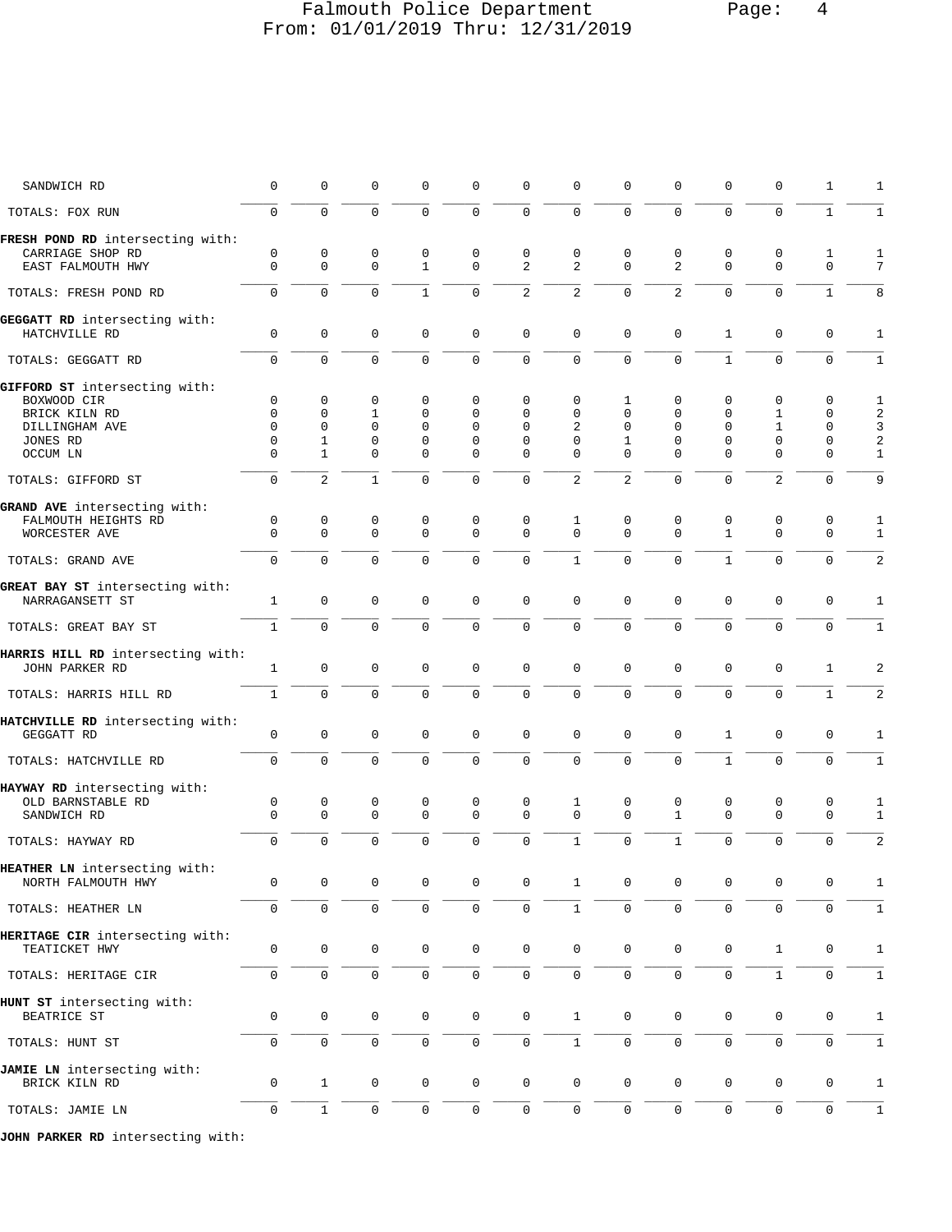## Falmouth Police Department Page: 4 From: 01/01/2019 Thru: 12/31/2019

| SANDWICH RD                       | 0            | $\mathbf 0$  | 0            | $\Omega$     | 0            | 0                   | 0                   | 0              | 0              | 0            | 0                   | 1            | 1              |
|-----------------------------------|--------------|--------------|--------------|--------------|--------------|---------------------|---------------------|----------------|----------------|--------------|---------------------|--------------|----------------|
| TOTALS: FOX RUN                   | $\mathsf{O}$ | $\Omega$     | $\mathbf 0$  | $\Omega$     | $\mathbf 0$  | $\mathbf 0$         | $\mathbf 0$         | $\Omega$       | $\Omega$       | $\Omega$     | $\mathbf 0$         | $\mathbf{1}$ | $\mathbf{1}$   |
| FRESH POND RD intersecting with:  |              |              |              |              |              |                     |                     |                |                |              |                     |              |                |
| CARRIAGE SHOP RD                  | $\mathbf 0$  | $\mathbf 0$  | $\mathbf 0$  | $\mathbf 0$  | $\mathbf{0}$ | $\mathbf 0$         | $\mathbf 0$         | $\mathbf 0$    | 0              | $\mathbf 0$  | 0                   | 1            | 1              |
| EAST FALMOUTH HWY                 | $\mathbf 0$  | $\mathbf 0$  | $\mathbf{0}$ | $\mathbf{1}$ | $\mathbf{0}$ | 2                   | $\overline{2}$      | $\Omega$       | $\overline{a}$ | $\mathbf 0$  | $\Omega$            | $\mathbf 0$  | 7              |
| TOTALS: FRESH POND RD             | $\mathbf 0$  | $\Omega$     | $\mathbf 0$  | $\mathbf{1}$ | $\Omega$     | 2                   | 2                   | $\mathbf 0$    | $\overline{2}$ | $\Omega$     | $\mathbf 0$         | $\mathbf{1}$ | 8              |
| GEGGATT RD intersecting with:     |              |              |              |              |              |                     |                     |                |                |              |                     |              |                |
| HATCHVILLE RD                     | $\mathbf 0$  | $\mathbf 0$  | $\mathbf 0$  | $\mathbf 0$  | $\mathbf 0$  | $\mathbf 0$         | $\mathbf 0$         | $\mathbf 0$    | $\mathbf 0$    | $\mathbf{1}$ | $\mathbf 0$         | $\mathbf 0$  | 1              |
| TOTALS: GEGGATT RD                | $\mathbf 0$  | $\mathbf 0$  | $\mathbf 0$  | $\mathbf 0$  | $\mathbf 0$  | $\mathbf 0$         | $\mathbf 0$         | $\Omega$       | $\mathbf 0$    | $\mathbf{1}$ | $\mathbf{0}$        | $\mathbf 0$  | $\mathbf{1}$   |
| GIFFORD ST intersecting with:     |              |              |              |              |              |                     |                     |                |                |              |                     |              |                |
| BOXWOOD CIR                       | 0            | $\mathbf{0}$ | 0            | $\mathbf 0$  | 0            | $\Omega$            | 0                   | 1              | 0              | 0            | 0                   | 0            | 1              |
| BRICK KILN RD                     | $\Omega$     | $\mathbf 0$  | $\mathbf{1}$ | 0            | $\Omega$     | $\Omega$            | $\Omega$            | $\Omega$       | $\mathbf 0$    | $\mathbf 0$  | 1                   | 0            | 2              |
| DILLINGHAM AVE                    | $\Omega$     | $\mathbf 0$  | $\mathbf 0$  | $\Omega$     | $\Omega$     | $\Omega$            | 2                   | $\Omega$       | $\Omega$       | $\Omega$     | $\mathbf{1}$        | 0            | 3              |
| JONES RD                          | $\Omega$     | $\mathbf{1}$ | $\mathbf 0$  | $\Omega$     | $\Omega$     | $\Omega$            | $\Omega$            | 1              | $\Omega$       | $\Omega$     | $\Omega$            | $\Omega$     | 2              |
| OCCUM LN                          | $\Omega$     | $\mathbf{1}$ | 0            | 0            | $\mathbf 0$  | $\Omega$            | $\Omega$            | $\Omega$       | $\Omega$       | $\Omega$     | $\Omega$            | 0            | $\mathbf{1}$   |
| TOTALS: GIFFORD ST                | $\Omega$     | 2            | $\mathbf{1}$ | $\Omega$     | $\Omega$     | $\Omega$            | $\overline{2}$      | $\overline{2}$ | $\mathbf 0$    | $\Omega$     | $\overline{2}$      | $\Omega$     | 9              |
| GRAND AVE intersecting with:      |              |              |              |              |              |                     |                     |                |                |              |                     |              |                |
| FALMOUTH HEIGHTS RD               | 0            | $\mathsf 0$  | 0            | 0            | $\mathbf 0$  | 0                   | 1                   | $\mathbf 0$    | 0              | 0            | 0                   | 0            | 1              |
| WORCESTER AVE                     | $\Omega$     | $\Omega$     | $\Omega$     | $\Omega$     | $\Omega$     | $\Omega$            | $\Omega$            | $\Omega$       | $\Omega$       | $\mathbf{1}$ | $\Omega$            | $\Omega$     | $\mathbf{1}$   |
|                                   |              |              |              |              |              |                     |                     |                |                |              |                     |              |                |
| TOTALS: GRAND AVE                 | $\mathbf 0$  | $\mathbf 0$  | $\mathbf 0$  | $\Omega$     | $\Omega$     | $\mathbf 0$         | $\mathbf{1}$        | $\Omega$       | $\Omega$       | $\mathbf{1}$ | $\mathbf 0$         | $\mathbf 0$  | $\overline{2}$ |
| GREAT BAY ST intersecting with:   |              |              |              |              |              |                     |                     |                |                |              |                     |              |                |
| NARRAGANSETT ST                   | $\mathbf{1}$ | $\mathbf 0$  | $\mathbf 0$  | $\mathbf 0$  | $\mathbf 0$  | $\mathbf 0$         | $\mathbf 0$         | $\mathbf 0$    | $\mathbf 0$    | $\mathbf 0$  | $\mathbf 0$         | $\mathbf 0$  | 1              |
|                                   |              |              |              |              |              |                     |                     |                |                |              |                     |              |                |
| TOTALS: GREAT BAY ST              | $\mathbf{1}$ | $\Omega$     | $\Omega$     | $\Omega$     | $\Omega$     | $\Omega$            | $\Omega$            | $\Omega$       | $\Omega$       | $\Omega$     | $\Omega$            | $\Omega$     | $\mathbf{1}$   |
| HARRIS HILL RD intersecting with: |              |              |              |              |              |                     |                     |                |                |              |                     |              |                |
| JOHN PARKER RD                    | $\mathbf{1}$ | $\mathsf 0$  | $\mathbf 0$  | $\mathbf 0$  | $\mathsf 0$  | $\mathbf 0$         | $\mathbf 0$         | $\mathbf 0$    | 0              | 0            | $\mathbf{0}$        | $\mathbf{1}$ | 2              |
|                                   |              |              |              |              |              |                     |                     |                |                |              |                     |              |                |
| TOTALS: HARRIS HILL RD            | $\mathbf{1}$ | $\mathbf 0$  | $\mathbf 0$  | $\mathbf 0$  | $\mathbf 0$  | $\mathbf 0$         | $\mathbf 0$         | $\mathbf 0$    | $\mathbf 0$    | 0            | $\mathbf 0$         | $\mathbf{1}$ | 2              |
| HATCHVILLE RD intersecting with:  |              |              |              |              |              |                     |                     |                |                |              |                     |              |                |
| GEGGATT RD                        | $\mathbf 0$  | $\mathbf 0$  | $\mathbf 0$  | 0            | $\mathbf 0$  | $\mathbf 0$         | $\mathbf 0$         | $\mathbf 0$    | 0              | $\mathbf{1}$ | $\mathbf 0$         | 0            | 1              |
|                                   |              |              |              |              |              |                     |                     |                |                |              |                     |              |                |
| TOTALS: HATCHVILLE RD             | $\mathbf 0$  | $\mathbf 0$  | $\mathbf 0$  | $\mathbf 0$  | $\mathbf 0$  | $\mathbf 0$         | $\mathbf 0$         | $\mathbf 0$    | $\mathbf 0$    | $\mathbf{1}$ | $\mathbf{0}$        | $\Omega$     | $\mathbf{1}$   |
| HAYWAY RD intersecting with:      |              |              |              |              |              |                     |                     |                |                |              |                     |              |                |
| OLD BARNSTABLE RD                 | 0            | $\mathsf 0$  | 0            | 0            | 0            | 0                   | 1                   | 0              | 0              | 0            | 0                   | 0            | 1              |
| SANDWICH RD                       | $\Omega$     | $\Omega$     | $\mathbf 0$  | $\Omega$     | $\mathbf{0}$ | $\Omega$            | $\Omega$            | $\Omega$       | $\mathbf{1}$   | $\Omega$     | $\Omega$            | $\mathbf 0$  | $\mathbf{1}$   |
|                                   | $\Omega$     | $\Omega$     | $\Omega$     | $\Omega$     | $\Omega$     | $\Omega$            | $\mathbf{1}$        | $\Omega$       | $\mathbf{1}$   | $\Omega$     | $\mathbf 0$         | $\Omega$     | $\overline{2}$ |
| TOTALS: HAYWAY RD                 |              |              |              |              |              |                     |                     |                |                |              |                     |              |                |
| HEATHER LN intersecting with:     |              |              |              |              |              |                     |                     |                |                |              |                     |              |                |
| NORTH FALMOUTH HWY                | 0            | 0            | 0            | 0            | 0            | 0                   | 1                   | 0              | 0              | 0            | 0                   | 0            | 1              |
|                                   |              |              |              |              |              |                     |                     |                |                |              |                     |              |                |
| TOTALS: HEATHER LN                | 0            | $\mathbf 0$  | $\mathsf 0$  | 0            | 0            | $\mathsf{O}$        | $1\,$               | $\mathsf{O}$   | 0              | 0            | $\mathsf{O}\xspace$ | $\mathbf 0$  | $\mathbf{1}$   |
| HERITAGE CIR intersecting with:   |              |              |              |              |              |                     |                     |                |                |              |                     |              |                |
| TEATICKET HWY                     | 0            | $\mathbf 0$  | $\mathbf 0$  | 0            | $\mathbf 0$  | $\mathsf{O}\xspace$ | $\mathbf 0$         | $\mathbf 0$    | $\mathbf 0$    | $\mathsf{O}$ | $\mathbf{1}$        | 0            | 1              |
|                                   |              |              |              |              |              |                     |                     |                |                |              |                     |              |                |
| TOTALS: HERITAGE CIR              | 0            | $\mathbf 0$  | 0            | 0            | $\mathbf 0$  | 0                   | 0                   | 0              | 0              | 0            | $\mathbf{1}$        | 0            | $\mathbf{1}$   |
| HUNT ST intersecting with:        |              |              |              |              |              |                     |                     |                |                |              |                     |              |                |
| BEATRICE ST                       | 0            | $\mathbf 0$  | $\mathbf 0$  | 0            | $\mathbf 0$  | 0                   | $\mathbf{1}$        | $\mathbf 0$    | 0              | $\mathsf{O}$ | 0                   | 0            | $\mathbf{1}$   |
|                                   |              |              |              |              |              |                     |                     |                |                |              |                     |              |                |
| TOTALS: HUNT ST                   | $\mathbf 0$  | $\mathbf 0$  | $\mathsf 0$  | 0            | 0            | $\mathsf{O}$        | $\mathbf{1}$        | $\mathbf 0$    | $\mathbf 0$    | 0            | $\mathbf 0$         | $\mathbf 0$  | $\mathbf{1}$   |
| JAMIE LN intersecting with:       |              |              |              |              |              |                     |                     |                |                |              |                     |              |                |
| BRICK KILN RD                     | 0            | $\mathbf{1}$ | 0            | 0            | 0            | 0                   | 0                   | $\mathbf 0$    | 0              | 0            | 0                   | 0            | 1              |
|                                   |              |              |              |              |              |                     |                     |                |                |              |                     |              |                |
| TOTALS: JAMIE LN                  | $\mathbf 0$  | $\mathbf{1}$ | $\mathbf 0$  | $\mathbf 0$  | 0            | $\mathsf{O}$        | $\mathsf{O}\xspace$ | $\mathbf{0}$   | $\mathbf 0$    | $\mathbf 0$  | $\mathbf 0$         | $\mathbf 0$  | $\mathbf{1}$   |
|                                   |              |              |              |              |              |                     |                     |                |                |              |                     |              |                |

**JOHN PARKER RD** intersecting with: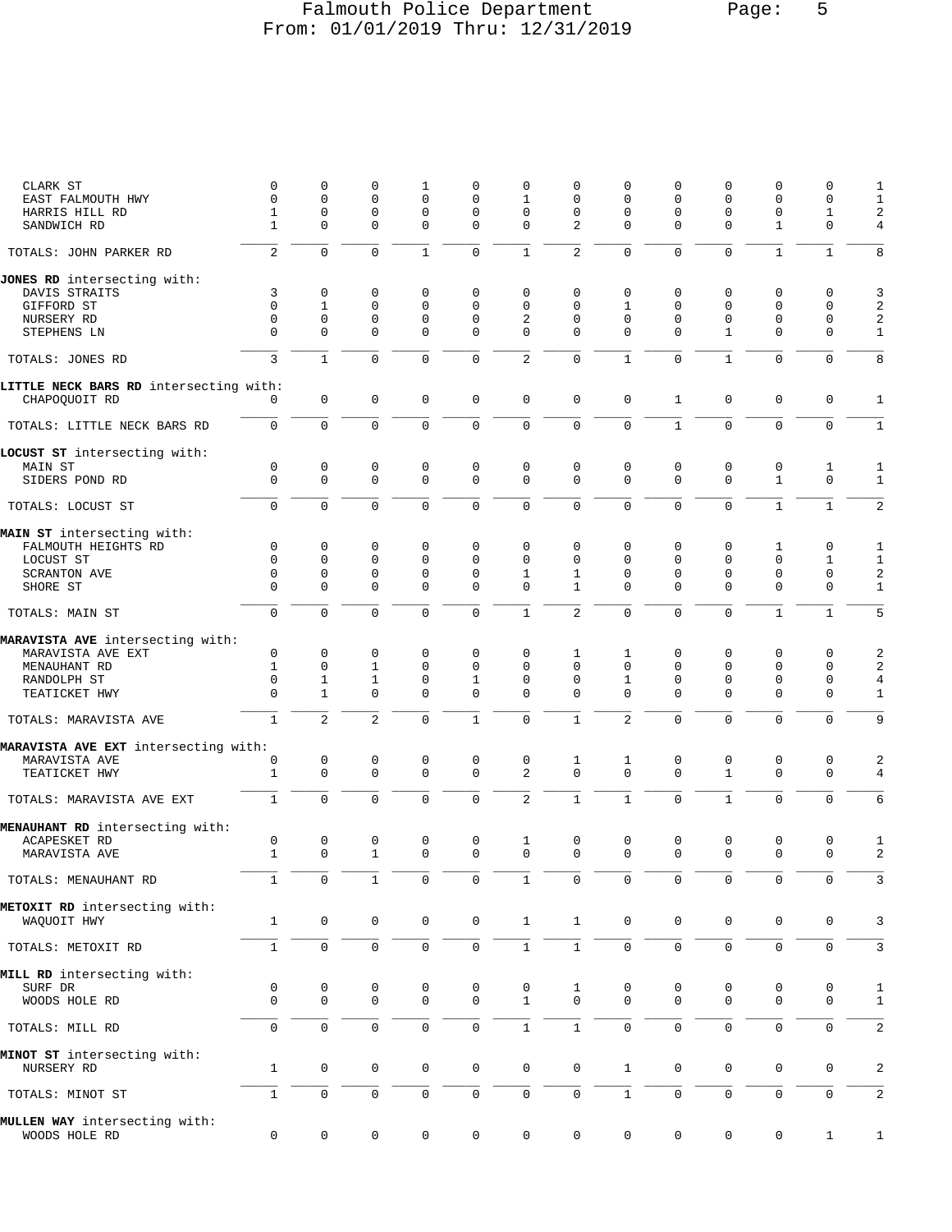## Falmouth Police Department Page: 5 From: 01/01/2019 Thru: 12/31/2019

| CLARK ST<br>EAST FALMOUTH HWY          | 0<br>0         | 0<br>$\Omega$       | 0<br>0              | 1<br>$\Omega$              | 0<br>$\Omega$    | 0<br>1              | 0<br>$\Omega$           | 0<br>0                  | 0<br>$\Omega$ | 0<br>$\Omega$       | 0<br>$\Omega$ | 0<br>$\Omega$              | 1<br>$1\,$          |
|----------------------------------------|----------------|---------------------|---------------------|----------------------------|------------------|---------------------|-------------------------|-------------------------|---------------|---------------------|---------------|----------------------------|---------------------|
| HARRIS HILL RD                         | $\mathbf{1}$   | $\mathbf 0$         | 0                   | $\mathbf 0$                | $\Omega$         | $\mathbf 0$         | $\overline{0}$          | $\Omega$                | $\mathbf 0$   | $\mathbf 0$         | $\mathbf{0}$  | $\mathbf{1}$               | $\sqrt{2}$          |
| SANDWICH RD                            | 1              | $\mathbf 0$         | 0                   | $\mathbf 0$                | 0                | $\mathbf 0$         | $\overline{2}$          | $\Omega$                | $\Omega$      | $\mathbf 0$         | $\mathbf 1$   | $\mathbf 0$                | $\overline{4}$      |
| TOTALS: JOHN PARKER RD                 | $\overline{2}$ | $\Omega$            | $\mathbf 0$         | $\mathbf{1}$               | $\overline{0}$   | $\mathbf{1}$        | $\overline{2}$          | $\Omega$                | $\Omega$      | $\Omega$            | $\mathbf{1}$  | $\mathbf{1}$               | 8                   |
| JONES RD intersecting with:            |                |                     |                     |                            |                  |                     |                         |                         |               |                     | $\Omega$      |                            |                     |
| DAVIS STRAITS                          | 3              | 0                   | 0                   | $\mathbf 0$                | 0                | 0                   | 0                       | 0                       | 0             | $\mathbf 0$         |               | $\mathbf 0$                | 3                   |
| GIFFORD ST                             | $\mathbf 0$    | $\mathbf{1}$        | 0                   | $\mathbf 0$                | $\Omega$         | $\mathbf 0$         | $\Omega$                | $\mathbf{1}$            | $\mathbf 0$   | $\mathbf 0$         | $\mathbf{0}$  | $\Omega$                   | $\sqrt{2}$          |
| NURSERY RD<br>STEPHENS LN              | 0<br>0         | $\mathsf 0$<br>0    | 0<br>0              | $\mathbf 0$<br>$\mathbf 0$ | 0<br>$\mathbf 0$ | 2<br>$\mathbf 0$    | $\mathbf 0$<br>$\Omega$ | $\mathbf 0$<br>$\Omega$ | 0<br>$\Omega$ | 0<br>$\mathbf{1}$   | 0<br>$\Omega$ | $\mathbf 0$<br>$\mathbf 0$ | $\sqrt{2}$<br>$1\,$ |
| TOTALS: JONES RD                       | 3              | $\mathbf{1}$        | 0                   | $\mathbf 0$                | 0                | $\overline{c}$      | $\mathbf 0$             | $\mathbf{1}$            | $\mathbf 0$   | $\mathbf{1}$        | $\mathbf{0}$  | $\mathbf 0$                | 8                   |
| LITTLE NECK BARS RD intersecting with: |                |                     |                     |                            |                  |                     |                         |                         |               |                     |               |                            |                     |
| CHAPOQUOIT RD                          | 0              | $\mathsf 0$         | 0                   | $\mathbf 0$                | 0                | $\mathbf 0$         | $\mathbf 0$             | $\mathbf 0$             | $\mathbf{1}$  | $\mathbf 0$         | $\mathbf{0}$  | $\mathbf 0$                | $\mathbf{1}$        |
| TOTALS: LITTLE NECK BARS RD            | 0              | 0                   | 0                   | $\mathbf 0$                | $\mathbf 0$      | $\mathbf 0$         | $\mathbf 0$             | $\mathbf 0$             | $\mathbf{1}$  | $\mathbf 0$         | $\mathbf{0}$  | $\mathbf 0$                | $\mathbf 1$         |
| LOCUST ST intersecting with:           |                |                     |                     |                            |                  |                     |                         |                         |               |                     |               |                            |                     |
| MAIN ST                                | 0              | $\mathsf 0$         | 0                   | 0                          | 0                | $\mathbf 0$         | $\mathsf 0$             | 0                       | 0             | 0                   | 0             | 1                          | 1                   |
| SIDERS POND RD                         | $\Omega$       | 0                   | 0                   | $\Omega$                   | 0                | $\mathbf 0$         | $\mathbf 0$             | $\Omega$                | $\mathbf 0$   | $\mathbf 0$         | $\mathbf{1}$  | $\mathbf 0$                | $\mathbf{1}$        |
| TOTALS: LOCUST ST                      | 0              | $\mathbf 0$         | $\mathbf 0$         | $\mathbf 0$                | $\mathbf 0$      | $\mathbf 0$         | $\mathbf 0$             | $\mathbf 0$             | $\mathbf 0$   | $\mathbf 0$         | $\mathbf{1}$  | $\mathbf{1}$               | 2                   |
| MAIN ST intersecting with:             |                |                     |                     |                            |                  |                     |                         |                         |               |                     |               |                            |                     |
| FALMOUTH HEIGHTS RD                    | 0              | 0                   | 0                   | 0                          | 0                | 0                   | 0                       | $\mathbf 0$             | 0             | 0                   | 1             | 0                          | 1                   |
| LOCUST ST                              | $\Omega$       | $\Omega$            | 0                   | $\Omega$                   | $\Omega$         | $\Omega$            | $\mathbf 0$             | $\Omega$                | $\mathbf 0$   | $\mathbf 0$         | $\mathbf 0$   | $\mathbf{1}$               | $\mathbf{1}$        |
| <b>SCRANTON AVE</b>                    | 0              | 0                   | 0                   | 0                          | 0                | $\mathbf{1}$        | $\mathbf{1}$            | 0                       | $\mathbf 0$   | 0                   | $\mathbf{0}$  | $\mathbf 0$                | 2                   |
| SHORE ST                               | $\Omega$       | $\Omega$            | $\Omega$            | $\Omega$                   | $\Omega$         | $\mathbf 0$         | $\mathbf{1}$            | $\Omega$                | $\Omega$      | $\Omega$            | $\Omega$      | $\Omega$                   | $\mathbf{1}$        |
| TOTALS: MAIN ST                        | 0              | $\mathbf 0$         | 0                   | $\mathbf 0$                | 0                | $\mathbf{1}$        | $\overline{2}$          | $\mathbf 0$             | 0             | $\mathbf 0$         | $\mathbf{1}$  | $\mathbf{1}$               | 5                   |
| MARAVISTA AVE intersecting with:       |                |                     |                     |                            |                  |                     |                         |                         |               |                     |               |                            |                     |
| MARAVISTA AVE EXT                      | 0              | 0                   | 0                   | $\mathbf 0$                | 0                | 0                   | 1                       | 1                       | 0             | 0                   | 0             | 0                          | 2                   |
| MENAUHANT RD                           | $\mathbf{1}$   | 0                   | $\mathbf{1}$        | 0                          | 0                | 0                   | $\Omega$                | $\Omega$                | $\Omega$      | $\Omega$            | $\mathbf{0}$  | $\mathbf 0$                | 2                   |
| RANDOLPH ST                            | 0              | $\mathbf{1}$        | $\mathbf{1}$        | 0                          | $\mathbf 1$      | 0                   | $\mathbf 0$             | $\mathbf{1}$            | $\mathbf 0$   | $\mathbf 0$         | $\mathbf{0}$  | $\mathbf 0$                | $\overline{4}$      |
| TEATICKET HWY                          | $\Omega$       | $\mathbf{1}$        | $\Omega$            | $\Omega$                   | $\Omega$         | $\mathbf 0$         | $\Omega$                | $\Omega$                | $\Omega$      | $\Omega$            | $\Omega$      | $\Omega$                   | $\mathbf{1}$        |
| TOTALS: MARAVISTA AVE                  | $\mathbf{1}$   | $\overline{a}$      | $\overline{2}$      | $\Omega$                   | $\mathbf{1}$     | $\mathbf 0$         | $\mathbf{1}$            | 2                       | $\Omega$      | $\Omega$            | $\Omega$      | $\mathbf 0$                | 9                   |
| MARAVISTA AVE EXT intersecting with:   |                |                     |                     |                            |                  |                     |                         |                         |               |                     |               |                            |                     |
| MARAVISTA AVE                          | 0              | $\mathsf 0$         | 0                   | 0                          | 0                | $\mathsf 0$         | 1                       | 1                       | 0             | 0                   | 0             | $\mathbf 0$                | 2                   |
| TEATICKET HWY                          | $\mathbf{1}$   | $\mathbf 0$         | 0                   | $\Omega$                   | $\Omega$         | $\overline{2}$      | $\Omega$                | $\Omega$                | $\Omega$      | $\mathbf{1}$        | $\Omega$      | $\mathbf 0$                | $\overline{4}$      |
| TOTALS: MARAVISTA AVE EXT              | $\mathbf{1}$   | $\mathbf 0$         | 0                   | $\mathbf 0$                | $\mathbf 0$      | $\overline{a}$      | $1\,$                   | $\mathbf{1}$            | 0             | $\mathbf{1}$        | $\mathbf 0$   | $\mathbf 0$                | 6                   |
| MENAUHANT RD intersecting with:        |                |                     |                     |                            |                  |                     |                         |                         |               |                     |               |                            |                     |
| ACAPESKET RD                           | 0              | $\mathsf 0$         | 0                   | 0                          | 0                | 1                   | 0                       | 0                       | 0             | 0                   | 0             | 0                          | 1                   |
| MARAVISTA AVE                          | $\mathbf{1}$   | 0                   | $\mathbf{1}$        | $\mathbf 0$                | 0                | $\mathbf 0$         | $\mathbf 0$             | $\mathbf 0$             | $\mathbf 0$   | $\mathbf 0$         | $\mathbf 0$   | $\mathbf 0$                | $\sqrt{2}$          |
| TOTALS: MENAUHANT RD                   | $\mathbf{1}$   | $\mathbf 0$         | $\mathbf{1}$        | $\mathbf 0$                | 0                | 1                   | $\mathsf 0$             | $\mathbf 0$             | 0             | $\mathbf 0$         | $\mathbf{0}$  | $\Omega$                   | 3                   |
| METOXIT RD intersecting with:          |                |                     |                     |                            |                  |                     |                         |                         |               |                     |               |                            |                     |
| WAQUOIT HWY                            | $\mathbf{1}$   | $\mathsf{O}\xspace$ | $\mathsf 0$         | 0                          | $\mathsf 0$      | $\mathbf{1}$        | $\mathbf{1}$            | $\mathbf 0$             | 0             | 0                   | 0             | 0                          | 3                   |
| TOTALS: METOXIT RD                     | $\mathbf{1}$   | $\mathbf 0$         | $\mathsf{O}\xspace$ | 0                          | 0                | $\mathbf 1$         | $\mathbf 1$             | $\mathsf{O}$            | 0             | $\mathbf 0$         | $\mathsf 0$   | $\mathsf{O}$               | 3                   |
| MILL RD intersecting with:             |                |                     |                     |                            |                  |                     |                         |                         |               |                     |               |                            |                     |
| SURF DR                                | 0              | 0                   | 0                   | 0                          | 0                | 0                   | $\mathbf{1}$            | 0                       | 0             | 0                   | 0             | 0                          | 1                   |
| WOODS HOLE RD                          | $\Omega$       | $\mathbf 0$         | $\mathbf 0$         | $\mathbf 0$                | $\mathbf 0$      | $\mathbf{1}$        | $\mathbf 0$             | $\mathbf 0$             | $\mathbf 0$   | $\mathbf 0$         | $\mathbf 0$   | $\mathbf 0$                | $\mathbf{1}$        |
| TOTALS: MILL RD                        | 0              | 0                   | 0                   | $\mathbf 0$                | 0                | $\mathbf{1}$        | $\mathbf{1}$            | $\mathbf 0$             | $\mathbf 0$   | $\mathbf 0$         | $\mathbf 0$   | $\mathbf 0$                | 2                   |
| MINOT ST intersecting with:            |                |                     |                     |                            |                  |                     |                         |                         |               |                     |               |                            |                     |
| NURSERY RD                             | $\mathbf{1}$   | $\mathbf 0$         | 0                   | $\mathbf 0$                | 0                | $\mathbf 0$         | $\mathbf 0$             | $\mathbf{1}$            | 0             | 0                   | $\mathsf 0$   | $\mathbf 0$                | 2                   |
| TOTALS: MINOT ST                       | $\mathbf{1}$   | $\mathsf{O}\xspace$ | $\mathsf 0$         | $\mathsf{O}\xspace$        | 0                | $\mathsf{O}\xspace$ | $\mathsf 0$             | $\mathbf{1}$            | 0             | $\mathsf{O}\xspace$ | $\mathsf 0$   | $\mathbf 0$                | $\sqrt{2}$          |
| MULLEN WAY intersecting with:          |                |                     |                     |                            |                  |                     |                         |                         |               |                     |               |                            |                     |
| WOODS HOLE RD                          | 0              | $\mathsf{O}$        | 0                   | 0                          | 0                | 0                   | 0                       | 0                       | 0             | 0                   | 0             | $\mathbf{1}$               | $\mathbf{1}$        |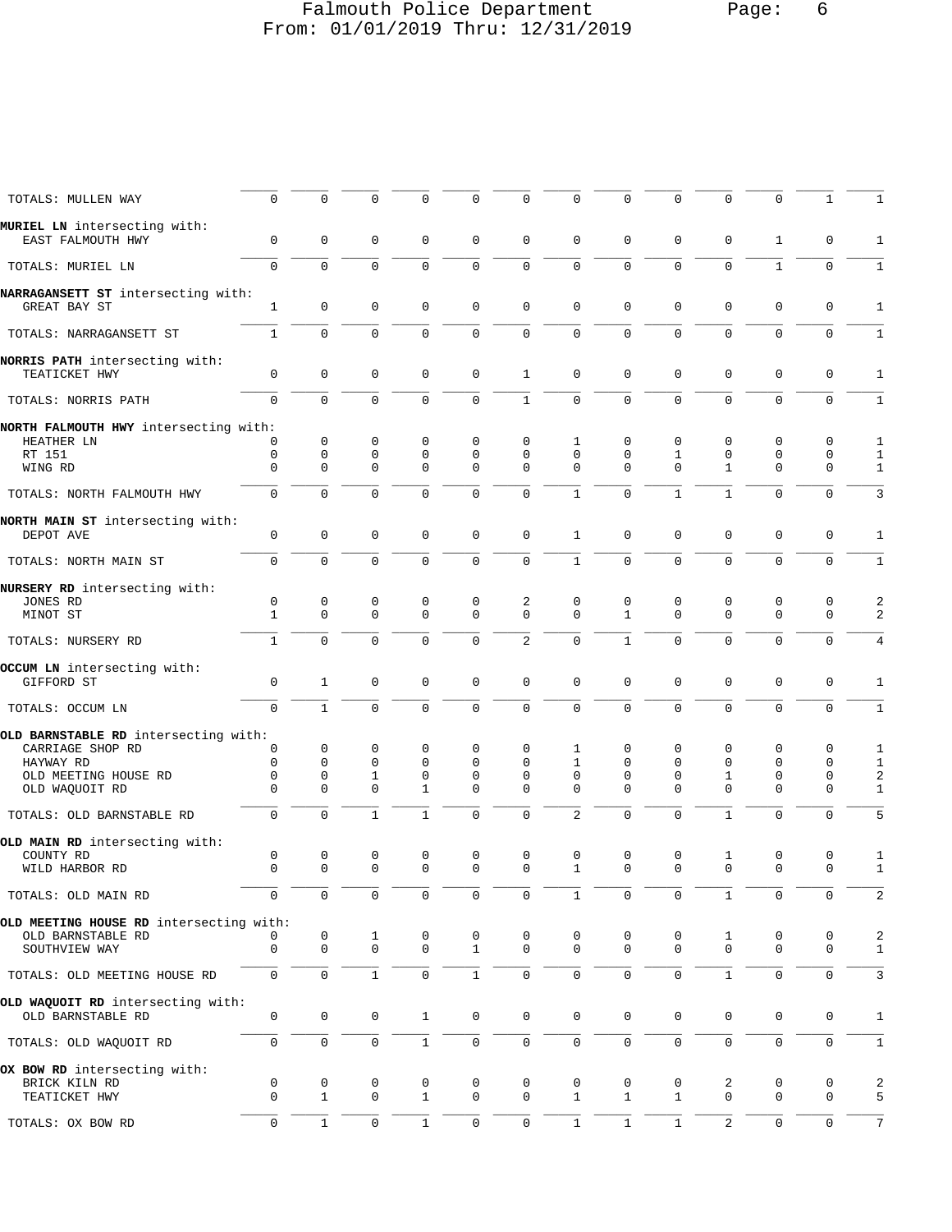## Falmouth Police Department Page: 6 From: 01/01/2019 Thru: 12/31/2019

| TOTALS: MULLEN WAY                                     | $\mathbf 0$       | 0                          | $\Omega$         | $\Omega$                   | $\mathbf 0$                | $\mathbf 0$             | $\mathbf 0$             | $\Omega$                    | $\mathbf 0$                | 0                       | $\Omega$                   | 1                | 1                   |
|--------------------------------------------------------|-------------------|----------------------------|------------------|----------------------------|----------------------------|-------------------------|-------------------------|-----------------------------|----------------------------|-------------------------|----------------------------|------------------|---------------------|
| MURIEL LN intersecting with:<br>EAST FALMOUTH HWY      | 0                 | $\mathbf 0$                | $\mathbf 0$      | $\mathbf 0$                | $\mathsf 0$                | $\mathbf 0$             | $\mathbf 0$             | $\mathbf 0$                 | $\mathbf 0$                | $\mathbf 0$             | 1                          | 0                | 1                   |
| TOTALS: MURIEL LN                                      | $\Omega$          | $\Omega$                   | $\Omega$         | $\Omega$                   | $\mathbf 0$                | $\mathbf 0$             | $\Omega$                | $\Omega$                    | $\Omega$                   | $\Omega$                | $\mathbf{1}$               | $\mathbf 0$      | $\mathbf{1}$        |
| NARRAGANSETT ST intersecting with:<br>GREAT BAY ST     | $\mathbf{1}$      | $\mathbf 0$                | $\mathbf 0$      | $\mathbf 0$                | $\mathbf 0$                | $\mathbf 0$             | $\mathbf 0$             | $\mathbf 0$                 | $\mathbf 0$                | $\mathbf 0$             | $\mathbf 0$                | 0                | 1                   |
| TOTALS: NARRAGANSETT ST                                | $\mathbf{1}$      | $\mathbf 0$                | $\mathbf 0$      | $\mathbf 0$                | $\mathbf 0$                | $\mathbf 0$             | $\mathbf 0$             | $\mathbf 0$                 | $\mathbf 0$                | $\mathbf 0$             | $\mathbf 0$                | $\mathbf 0$      | $\mathbf{1}$        |
| NORRIS PATH intersecting with:<br>TEATICKET HWY        | $\mathbf 0$       | $\mathbf 0$                | 0                | $\mathbf 0$                | $\mathbf 0$                | $\mathbf{1}$            | $\mathbf 0$             | $\mathbf 0$                 | $\mathbf 0$                | $\mathbf 0$             | $\mathbf 0$                | 0                | 1                   |
| TOTALS: NORRIS PATH                                    | $\Omega$          | $\mathbf 0$                | $\mathbf 0$      | $\Omega$                   | $\mathbf 0$                | $\mathbf{1}$            | $\mathbf 0$             | $\mathbf 0$                 | $\mathbf 0$                | $\mathbf 0$             | $\mathbf 0$                | $\mathbf 0$      | $\mathbf{1}$        |
| NORTH FALMOUTH HWY intersecting with:<br>HEATHER LN    | 0                 | 0                          | 0                | $\mathbf 0$                | $\mathbf 0$                | $\mathbf 0$             | 1                       | 0                           | 0                          | 0                       | $\mathbf 0$                | 0                | 1                   |
| RT 151                                                 | 0                 | $\mathbf 0$                | $\mathbf 0$      | $\mathbf 0$                | $\mathbf 0$                | $\Omega$                | $\Omega$                | $\mathbf 0$                 | $\mathbf{1}$               | $\mathbf 0$             | $\mathbf 0$                | 0                | 1                   |
| WING RD                                                | $\Omega$          | 0                          | $\Omega$         | $\Omega$                   | $\Omega$                   | $\Omega$                | $\Omega$                | $\Omega$                    | $\Omega$                   | $\mathbf{1}$            | $\Omega$                   | $\mathbf 0$      | $\mathbf{1}$        |
| TOTALS: NORTH FALMOUTH HWY                             | $\mathbf 0$       | $\Omega$                   | $\Omega$         | $\Omega$                   | $\mathbf 0$                | $\mathbf 0$             | $\mathbf{1}$            | $\Omega$                    | $\mathbf{1}$               | $\mathbf{1}$            | $\Omega$                   | $\mathbf 0$      | 3                   |
| NORTH MAIN ST intersecting with:<br>DEPOT AVE          | 0                 | $\mathbf 0$                | 0                | 0                          | $\mathsf 0$                | $\mathbf 0$             | 1                       | $\mathbf 0$                 | $\mathbf 0$                | $\mathbf 0$             | $\mathbf 0$                | 0                | 1                   |
| TOTALS: NORTH MAIN ST                                  | 0                 | $\mathbf 0$                | $\mathbf 0$      | $\mathbf 0$                | $\mathbf 0$                | $\mathbf 0$             | $\mathbf{1}$            | $\Omega$                    | $\Omega$                   | $\mathbf{0}$            | $\mathbf 0$                | 0                | $\mathbf{1}$        |
| NURSERY RD intersecting with:                          |                   |                            |                  |                            |                            |                         |                         |                             |                            |                         |                            |                  |                     |
| JONES RD<br>MINOT ST                                   | 0<br>$\mathbf{1}$ | $\mathbf 0$<br>$\mathbf 0$ | 0<br>$\mathbf 0$ | $\mathbf 0$<br>$\mathbf 0$ | $\mathbf 0$<br>$\mathbf 0$ | 2<br>$\Omega$           | $\mathbf 0$<br>$\Omega$ | $\mathbf 0$<br>$\mathbf{1}$ | $\mathbf 0$<br>$\mathbf 0$ | 0<br>$\mathbf 0$        | $\mathbf 0$<br>$\mathbf 0$ | 0<br>$\mathbf 0$ | $\overline{a}$<br>2 |
| TOTALS: NURSERY RD                                     | $\mathbf{1}$      | $\Omega$                   | $\Omega$         | $\Omega$                   | $\Omega$                   | 2                       | $\mathbf 0$             | $\mathbf{1}$                | $\mathbf 0$                | $\mathbf 0$             | $\Omega$                   | $\mathbf 0$      | 4                   |
| OCCUM LN intersecting with:<br>GIFFORD ST              | 0                 | $\mathbf{1}$               | $\mathbf 0$      | $\mathbf 0$                | $\mathbf 0$                | $\mathbf 0$             | $\mathbf 0$             | $\mathbf 0$                 | $\mathbf 0$                | $\mathbf 0$             | $\mathbf 0$                | $\mathbf 0$      | 1                   |
| TOTALS: OCCUM LN                                       | 0                 | $\mathbf{1}$               | $\mathbf 0$      | $\mathbf 0$                | $\mathbf 0$                | $\mathbf 0$             | $\mathbf 0$             | $\mathbf 0$                 | $\mathbf 0$                | $\mathbf 0$             | $\mathbf 0$                | $\mathbf 0$      | $\mathbf{1}$        |
| OLD BARNSTABLE RD intersecting with:                   |                   |                            |                  |                            |                            |                         |                         |                             |                            |                         |                            |                  |                     |
| CARRIAGE SHOP RD                                       | 0<br>0            | 0<br>$\mathbf 0$           | 0<br>$\mathbf 0$ | 0<br>$\mathbf 0$           | 0<br>$\Omega$              | $\mathbf 0$<br>$\Omega$ | 1<br>$\mathbf{1}$       | 0<br>$\mathbf 0$            | $\mathbf 0$<br>$\mathbf 0$ | 0<br>$\mathbf 0$        | 0<br>$\mathbf 0$           | 0<br>0           | 1                   |
| HAYWAY RD<br>OLD MEETING HOUSE RD                      | 0                 | 0                          | 1                | $\mathbf 0$                | 0                          | $\mathbf 0$             | $\mathbf 0$             | $\mathbf 0$                 | $\mathbf 0$                | 1                       | 0                          | 0                | $\mathbf{1}$<br>2   |
| OLD WAQUOIT RD                                         | $\Omega$          | $\Omega$                   | $\Omega$         | $\mathbf{1}$               | $\Omega$                   | $\Omega$                | $\Omega$                | $\Omega$                    | $\Omega$                   | $\Omega$                | $\Omega$                   | 0                | $\mathbf{1}$        |
| TOTALS: OLD BARNSTABLE RD                              | 0                 | $\mathbf 0$                | 1                | 1                          | $\mathbf 0$                | $\mathbf 0$             | 2                       | $\Omega$                    | $\mathbf 0$                | $\mathbf{1}$            | $\mathbf 0$                | 0                | 5                   |
| OLD MAIN RD intersecting with:                         |                   |                            |                  |                            |                            |                         |                         |                             |                            |                         |                            |                  |                     |
| COUNTY RD                                              | 0                 | $\mathbf 0$                | 0                | 0                          | $\mathbf 0$                | $\mathbf 0$             | $\mathbf 0$             | 0                           | $\mathbf 0$                | 1                       | $\mathbf 0$                | 0                | 1                   |
| WILD HARBOR RD                                         | $\mathbf 0$       | $\mathbf 0$                | $\mathbf 0$      | $\mathbf 0$                | $\mathbf 0$                | $\mathbf 0$             | 1                       | $\mathbf 0$                 | $\mathbf 0$                | $\mathbf 0$             | $\mathbf 0$                | $\mathbf 0$      | $\mathbf{1}$        |
| TOTALS: OLD MAIN RD                                    | 0                 | $\mathbf 0$                | $\mathbf 0$      | $\mathbf 0$                | $\mathbf 0$                | $\mathbf 0$             | $\mathbf{1}$            | $\mathbf 0$                 | $\mathbf 0$                | $\mathbf{1}$            | $\mathbf 0$                | 0                | 2                   |
| OLD MEETING HOUSE RD intersecting with:                |                   |                            |                  |                            |                            |                         |                         |                             |                            |                         |                            |                  |                     |
| OLD BARNSTABLE RD                                      | 0                 | 0                          | 1                | 0                          | 0                          | 0                       | 0                       | 0                           | 0                          | 1                       | 0                          | 0                | 2                   |
| SOUTHVIEW WAY                                          | $\mathbf 0$       | $\mathbf{0}$               | $\mathbf 0$      | $\mathbf 0$                | $\mathbf{1}$               | $\mathbf 0$             | $\mathbf 0$             | $\mathbf 0$                 | $\mathbf 0$                | $\mathbf 0$             | $\mathbf 0$                | 0                | $\mathbf{1}$        |
| TOTALS: OLD MEETING HOUSE RD                           | 0                 | $\mathbf 0$                | $\mathbf{1}$     | $\mathbf 0$                | $\mathbf{1}$               | $\mathsf{O}\xspace$     | $\mathbf 0$             | $\mathbf 0$                 | $\mathbf 0$                | $\mathbf{1}$            | $\mathsf{O}\xspace$        | 0                | 3                   |
| OLD WAQUOIT RD intersecting with:<br>OLD BARNSTABLE RD | 0                 | $\mathbf 0$                | 0                | $\mathbf{1}$               | $\mathbf 0$                | $\mathbf 0$             | $\mathbf 0$             | 0                           | $\mathbf 0$                | 0                       | 0                          | 0                | $\mathbf{1}$        |
| TOTALS: OLD WAQUOIT RD                                 | $\mathbf 0$       | $\mathbf 0$                | 0                | $\mathbf{1}$               | 0                          | $\mathbf 0$             | $\mathbf 0$             | $\mathbf 0$                 | $\mathbf 0$                | $\mathbf 0$             | $\mathbf 0$                | 0                | $\mathbf{1}$        |
| OX BOW RD intersecting with:                           |                   |                            |                  |                            |                            |                         |                         |                             |                            |                         |                            |                  |                     |
| BRICK KILN RD                                          | 0                 | 0                          | 0                | 0                          | 0                          | 0                       | 0                       | 0                           | 0                          | 2                       | 0                          | 0                | 2                   |
| TEATICKET HWY                                          | $\Omega$          | $\mathbf{1}$               | $\mathbf 0$      | $\mathbf{1}$               | $\mathbf 0$                | $\mathbf 0$             | $\mathbf{1}$            | 1                           | 1                          | $\Omega$                | $\Omega$                   | 0                | 5                   |
| TOTALS: OX BOW RD                                      | 0                 | $\mathbf{1}$               | 0                | $\mathbf{1}$               | 0                          | $\mathbf 0$             | $\mathbf{1}$            | 1                           | $\mathbf{1}$               | $\overline{\mathbf{c}}$ | 0                          | 0                | 7                   |
|                                                        |                   |                            |                  |                            |                            |                         |                         |                             |                            |                         |                            |                  |                     |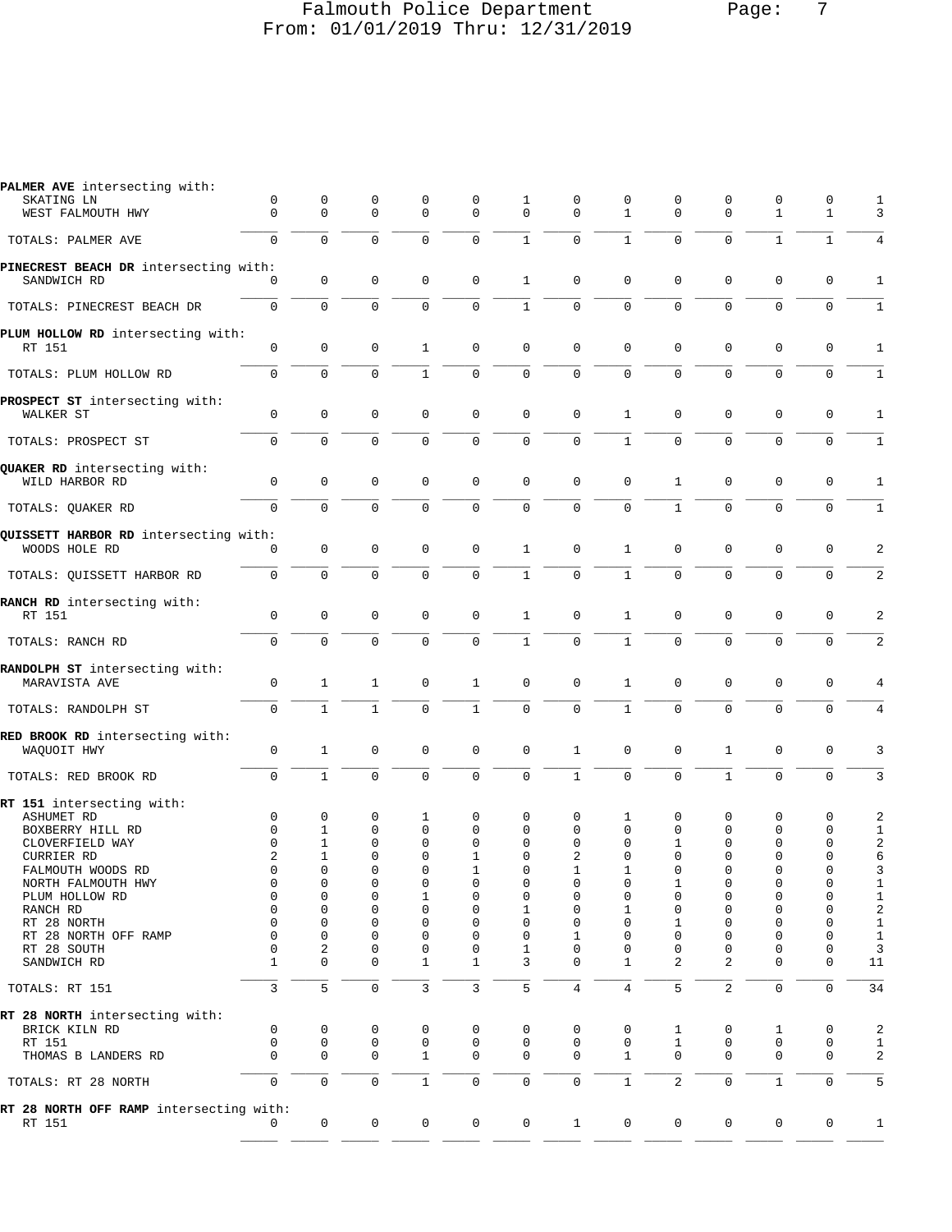## Falmouth Police Department Page: 7 From: 01/01/2019 Thru: 12/31/2019

| PALMER AVE intersecting with:<br>SKATING LN            | 0            | 0            | 0                          | 0              | $\mathbf 0$      | 1            | 0                   | 0                | 0                | 0                   | 0                          | 0            | 1                   |
|--------------------------------------------------------|--------------|--------------|----------------------------|----------------|------------------|--------------|---------------------|------------------|------------------|---------------------|----------------------------|--------------|---------------------|
| WEST FALMOUTH HWY                                      | $\Omega$     | 0            | $\mathbf 0$                | $\mathbf 0$    | $\Omega$         | $\mathbf 0$  | $\Omega$            | $\mathbf{1}$     | $\Omega$         | $\mathbf 0$         | $\mathbf{1}$               | $\mathbf{1}$ | 3                   |
|                                                        |              |              |                            |                |                  |              |                     |                  |                  |                     |                            |              |                     |
| TOTALS: PALMER AVE                                     | $\mathbf 0$  | $\mathbf 0$  | $\mathbf 0$                | $\mathbf 0$    | $\mathbf 0$      | $\mathbf{1}$ | $\mathbf 0$         | $\mathbf{1}$     | $\mathbf 0$      | $\mathbf 0$         | $\mathbf{1}$               | $\mathbf{1}$ | 4                   |
| PINECREST BEACH DR intersecting with:                  |              |              |                            |                |                  |              |                     |                  |                  |                     |                            |              |                     |
| SANDWICH RD                                            | $\Omega$     | $\mathbf 0$  | 0                          | 0              | $\mathsf 0$      | $\mathbf{1}$ | $\mathbf 0$         | $\mathbf 0$      | $\mathbf 0$      | $\mathbf 0$         | $\mathbf 0$                | 0            | 1                   |
| TOTALS: PINECREST BEACH DR                             | $\mathbf 0$  | $\mathbf 0$  | $\mathbf 0$                | 0              | $\mathbf 0$      | $\mathbf{1}$ | $\mathbf 0$         | 0                | $\mathbf 0$      | $\mathbf 0$         | $\mathbf 0$                | 0            | $\mathbf{1}$        |
| PLUM HOLLOW RD intersecting with:                      |              |              |                            |                |                  |              |                     |                  |                  |                     |                            |              |                     |
| RT 151                                                 | 0            | $\mathbf 0$  | 0                          | 1              | $\mathbf 0$      | $\mathbf 0$  | $\mathbf 0$         | $\mathbf 0$      | $\mathbf 0$      | $\mathbf 0$         | $\mathbf 0$                | 0            | 1                   |
| TOTALS: PLUM HOLLOW RD                                 | $\mathbf 0$  | $\Omega$     | $\mathbf 0$                | $\mathbf{1}$   | $\mathbf 0$      | $\mathbf 0$  | $\mathbf 0$         | 0                | $\mathbf 0$      | $\mathbf 0$         | $\mathbf 0$                | $\mathbf 0$  | $\mathbf{1}$        |
| PROSPECT ST intersecting with:                         |              |              |                            |                |                  |              |                     |                  |                  |                     |                            |              |                     |
| WALKER ST                                              | $\mathbf 0$  | $\mathbf 0$  | $\mathbf 0$                | 0              | $\mathbf 0$      | $\mathbf 0$  | $\mathbf 0$         | $\mathbf{1}$     | $\mathbf 0$      | $\mathbf 0$         | $\mathbf 0$                | $\mathbf 0$  | 1                   |
| TOTALS: PROSPECT ST                                    | $\mathbf 0$  | 0            | $\mathbf 0$                | $\mathbf 0$    | $\mathbf 0$      | $\mathbf 0$  | $\mathbf 0$         | $\mathbf{1}$     | $\mathbf 0$      | $\mathbf 0$         | $\mathbf 0$                | $\mathbf 0$  | $\mathbf{1}$        |
| QUAKER RD intersecting with:                           |              |              |                            |                |                  |              |                     |                  |                  |                     |                            |              |                     |
| WILD HARBOR RD                                         | $\mathbf 0$  | $\mathbf 0$  | $\mathbf 0$                | 0              | 0                | 0            | $\mathbf 0$         | $\mathbf 0$      | 1                | $\mathbf 0$         | $\mathbf 0$                | 0            | 1                   |
| TOTALS: QUAKER RD                                      | $\mathbf{0}$ | $\mathbf 0$  | $\mathbf 0$                | $\mathbf 0$    | $\mathbf 0$      | $\mathbf 0$  | $\mathbf 0$         | $\mathbf 0$      | $\mathbf{1}$     | $\mathbf 0$         | $\mathbf 0$                | $\mathbf 0$  | $\mathbf{1}$        |
|                                                        |              |              |                            |                |                  |              |                     |                  |                  |                     |                            |              |                     |
| QUISSETT HARBOR RD intersecting with:<br>WOODS HOLE RD | $\mathbf 0$  | 0            | $\mathbf 0$                | 0              | 0                | 1            | 0                   | $\mathbf{1}$     | $\mathbf 0$      | $\mathbf 0$         | $\mathbf 0$                | 0            | 2                   |
|                                                        |              |              |                            |                |                  |              |                     |                  |                  |                     |                            |              |                     |
| TOTALS: OUISSETT HARBOR RD                             | $\mathbf 0$  | $\mathbf 0$  | $\mathbf 0$                | $\mathbf 0$    | $\mathbf 0$      | $\mathbf{1}$ | $\mathbf 0$         | $\mathbf{1}$     | $\Omega$         | $\mathbf{0}$        | $\mathbf 0$                | $\mathbf 0$  | 2                   |
| RANCH RD intersecting with:                            |              |              |                            |                |                  |              |                     |                  |                  |                     |                            |              |                     |
| RT 151                                                 | $\mathbf 0$  | $\mathbf 0$  | $\mathbf 0$                | 0              | 0                | $\mathbf{1}$ | $\mathbf 0$         | 1                | $\mathbf 0$      | $\mathbf 0$         | $\mathbf 0$                | 0            | 2                   |
| TOTALS: RANCH RD                                       | $\mathbf 0$  | $\mathbf 0$  | $\mathbf 0$                | $\mathbf 0$    | $\mathbf 0$      | $\mathbf{1}$ | $\mathbf 0$         | $\mathbf{1}$     | $\mathbf 0$      | $\mathbf 0$         | $\mathbf 0$                | 0            | 2                   |
| RANDOLPH ST intersecting with:                         |              |              |                            |                |                  |              |                     |                  |                  |                     |                            |              |                     |
| MARAVISTA AVE                                          | 0            | $\mathbf{1}$ | 1                          | 0              | 1                | $\mathbf 0$  | $\mathbf 0$         | 1                | 0                | $\mathbf{0}$        | $\mathbf 0$                | 0            | 4                   |
| TOTALS: RANDOLPH ST                                    | $\mathbf 0$  | $\mathbf{1}$ | $\mathbf{1}$               | $\Omega$       | $\mathbf{1}$     | $\Omega$     | $\Omega$            | $\mathbf{1}$     | $\Omega$         | $\Omega$            | $\mathbf 0$                | $\mathbf 0$  | 4                   |
| RED BROOK RD intersecting with:                        |              |              |                            |                |                  |              |                     |                  |                  |                     |                            |              |                     |
| WAQUOIT HWY                                            | $\mathbf 0$  | $\mathbf{1}$ | 0                          | 0              | $\mathbf 0$      | 0            | $\mathbf{1}$        | 0                | $\mathbf 0$      | $\mathbf{1}$        | 0                          | 0            | 3                   |
|                                                        |              |              |                            |                |                  |              |                     |                  |                  |                     |                            |              |                     |
| TOTALS: RED BROOK RD                                   | $\mathbf 0$  | $\mathbf{1}$ | $\mathbf 0$                | $\mathbf 0$    | $\mathbf 0$      | $\mathbf 0$  | $\mathbf{1}$        | 0                | $\mathbf 0$      | $\mathbf{1}$        | $\mathbf 0$                | $\mathbf 0$  | 3                   |
| RT 151 intersecting with:                              |              |              |                            |                |                  |              |                     |                  |                  |                     |                            |              |                     |
| ASHUMET RD                                             | 0            | 0            | 0                          | 1              | 0                | 0            | 0                   | 1                | 0                | 0                   | 0                          | 0            | 2                   |
| BOXBERRY HILL RD                                       | 0            | 1            | 0                          | 0              | 0                | 0            | $\Omega$            | 0                | $\mathbf 0$      | 0                   | 0                          | 0            | 1                   |
| CLOVERFIELD WAY<br>CURRIER RD                          | 0<br>2       | 1<br>1       | $\mathbf 0$<br>$\mathbf 0$ | 0<br>0         | $\mathbf 0$<br>1 | 0<br>0       | 0<br>2              | 0<br>$\mathbf 0$ | 1<br>$\mathbf 0$ | 0<br>0              | $\mathbf 0$<br>$\mathbf 0$ | 0<br>0       | $\overline{a}$<br>6 |
| FALMOUTH WOODS RD                                      | $\Omega$     | $\Omega$     | $\Omega$                   | $\Omega$       | 1                | $\Omega$     | 1                   | 1                | $\Omega$         | 0                   | $\Omega$                   | 0            | 3                   |
| NORTH FALMOUTH HWY                                     | 0            | 0            | 0                          | 0              | 0                | 0            | 0                   | 0                | $\mathbf 1$      | 0                   | 0                          | 0            | $\mathbf{1}$        |
| PLUM HOLLOW RD                                         | 0            | 0            | 0                          | 1              | $\mathbf 0$      | 0            | 0                   | $\mathbf 0$      | 0                | 0                   | $\mathbf 0$                | 0            | $\mathbf{1}$        |
| RANCH RD                                               | $\mathbf 0$  | 0            | 0                          | 0              | 0                | 1            | 0                   | 1                | 0                | 0                   | $\mathbf 0$                | 0            | 2                   |
| RT 28 NORTH                                            | 0            | 0            | $\mathbf 0$                | 0              | $\mathbf 0$      | 0            | $\mathbf 0$         | $\mathbf 0$      | 1                | 0                   | $\mathbf 0$                | 0            | $\mathbf{1}$        |
| RT 28 NORTH OFF RAMP                                   | $\mathbf 0$  | 0            | 0                          | 0              | 0                | 0            | 1                   | 0                | 0                | 0                   | $\mathbf 0$                | 0            | 1                   |
| RT 28 SOUTH                                            | $\mathbf 0$  | 2            | $\mathbf 0$                | 0              | 0                | 1            | 0                   | 0                | 0                | 0                   | 0                          | 0            | 3                   |
| SANDWICH RD                                            | 1            | $\mathbf{0}$ | $\mathbf 0$                | 1              | $\mathbf{1}$     | 3            | $\mathbf 0$         | 1                | 2                | 2                   | $\mathbf 0$                | $\mathsf 0$  | 11                  |
|                                                        |              |              |                            |                |                  |              |                     |                  |                  |                     |                            |              |                     |
| TOTALS: RT 151                                         | 3            | 5            | $\mathbf 0$                | 3              | 3                | 5            | $\overline{4}$      | 4                | 5                | 2                   | $\mathbf 0$                | $\mathbf 0$  | 34                  |
| RT 28 NORTH intersecting with:                         |              |              |                            |                |                  |              |                     |                  |                  |                     |                            |              |                     |
| BRICK KILN RD                                          | 0            | 0            | 0                          | 0              | 0                | 0            | 0                   | 0                | 1                | 0                   | 1                          | 0            | 2                   |
| RT 151                                                 | $\mathbf 0$  | 0            | 0                          | 0              | 0                | 0            | 0                   | 0                | $\mathbf{1}$     | 0                   | 0                          | 0            | $\mathbf{1}$        |
| THOMAS B LANDERS RD                                    | $\mathbf 0$  | $\mathbf 0$  | $\mathbf 0$                | 1              | 0                | $\mathbf 0$  | $\mathbf 0$         | $\mathbf{1}$     | $\mathbf 0$      | $\mathbf{0}$        | 0                          | 0            | 2                   |
| TOTALS: RT 28 NORTH                                    | $\mathbf 0$  | $\mathsf 0$  | $\mathsf{O}\xspace$        | $\mathbf{1}$   | $\mathsf{O}$     | $\mathsf 0$  | $\mathsf{O}\xspace$ | $\mathbf{1}$     | $\overline{2}$   | $\mathsf{O}\xspace$ | $\mathbf{1}$               | $\mathbf 0$  | 5                   |
| RT 28 NORTH OFF RAMP intersecting with:                |              |              |                            |                |                  |              |                     |                  |                  |                     |                            |              |                     |
| RT 151                                                 | $\Omega$     | 0            | 0                          | $\overline{0}$ | $\mathsf{O}$     | $\mathbf 0$  | $\mathbf{1}$        | $\overline{0}$   | $\overline{0}$   | $\mathsf{O}$        | $\mathbf 0$                | 0            | $\mathbf{1}$        |
|                                                        |              |              |                            |                |                  |              |                     |                  |                  |                     |                            |              |                     |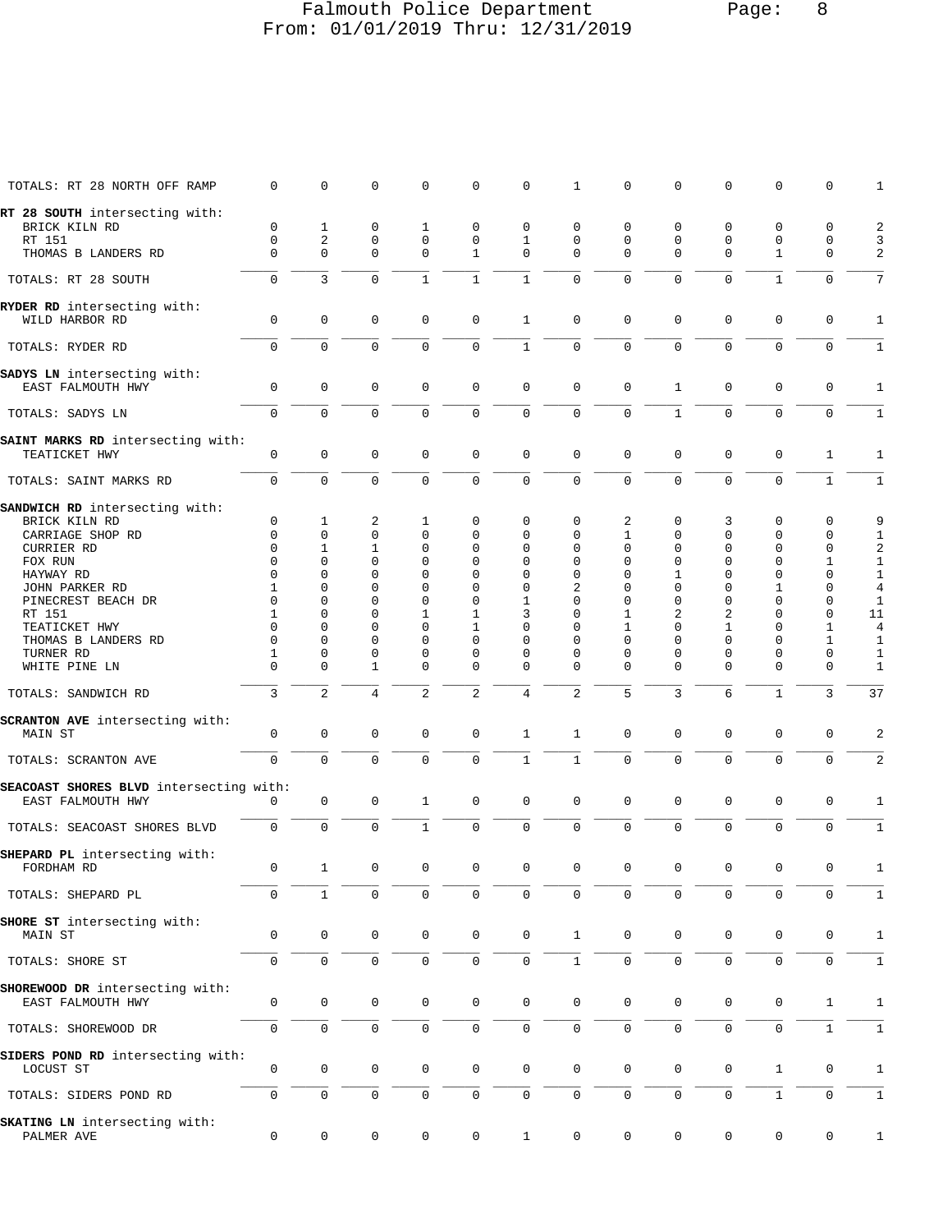#### Falmouth Police Department Page: 8 From: 01/01/2019 Thru: 12/31/2019

| TOTALS: RT 28 NORTH OFF RAMP                                 | $\mathbf 0$                | $\mathsf 0$             | $\mathsf 0$      | $\mathbf 0$                | $\mathbf 0$                 | 0                   | $\mathbf{1}$     | $\mathbf 0$      | $\mathbf 0$             | 0                   | $\mathbf 0$         | $\mathsf 0$      | $\mathbf{1}$         |
|--------------------------------------------------------------|----------------------------|-------------------------|------------------|----------------------------|-----------------------------|---------------------|------------------|------------------|-------------------------|---------------------|---------------------|------------------|----------------------|
| RT 28 SOUTH intersecting with:                               |                            |                         |                  |                            |                             |                     |                  |                  |                         |                     |                     |                  |                      |
| BRICK KILN RD                                                | 0                          | 1                       | 0                | 1                          | $\mathbf 0$                 | 0                   | 0                | $\mathbf 0$      | 0                       | 0                   | $\mathbf 0$         | 0                | 2                    |
| RT 151                                                       | $\mathbf 0$<br>$\mathbf 0$ | 2<br>$\mathbf{0}$       | 0<br>$\mathbf 0$ | $\mathsf 0$<br>$\mathbf 0$ | $\mathbf 0$<br>$\mathbf{1}$ | 1<br>$\mathbf 0$    | 0<br>$\mathbf 0$ | 0<br>$\mathbf 0$ | $\Omega$<br>$\mathbf 0$ | 0<br>$\mathbf 0$    | 0<br>$\mathbf{1}$   | 0<br>$\mathbf 0$ | 3<br>2               |
| THOMAS B LANDERS RD                                          |                            |                         |                  |                            |                             |                     |                  |                  |                         |                     |                     |                  |                      |
| TOTALS: RT 28 SOUTH                                          | $\mathbf 0$                | 3                       | $\mathbf 0$      | $\mathbf{1}$               | $\mathbf{1}$                | $\mathbf{1}$        | $\mathbf 0$      | $\mathbf 0$      | $\mathbf 0$             | $\mathbf 0$         | $\mathbf{1}$        | $\mathbf 0$      | $7\overline{ }$      |
| RYDER RD intersecting with:                                  |                            |                         |                  |                            |                             |                     |                  |                  |                         |                     |                     |                  |                      |
| WILD HARBOR RD                                               | $\mathbf 0$                | $\mathbf 0$             | $\mathbf 0$      | $\mathbf 0$                | $\mathbf 0$                 | 1                   | 0                | $\mathbf 0$      | $\mathbf 0$             | $\mathbf 0$         | 0                   | 0                | $\mathbf{1}$         |
| TOTALS: RYDER RD                                             | $\mathbf 0$                | $\mathbf 0$             | $\mathbf 0$      | $\mathbf 0$                | $\mathbf 0$                 | $\mathbf{1}$        | $\mathbf 0$      | $\mathbf 0$      | $\mathbf 0$             | $\mathbf 0$         | $\mathbf 0$         | $\mathbf 0$      | $\mathbf{1}$         |
| SADYS LN intersecting with:                                  |                            |                         |                  |                            |                             |                     |                  |                  |                         |                     |                     |                  |                      |
| EAST FALMOUTH HWY                                            | 0                          | 0                       | 0                | $\mathbf 0$                | 0                           | 0                   | 0                | 0                | 1                       | $\mathbf 0$         | 0                   | 0                | $\mathbf{1}$         |
| TOTALS: SADYS LN                                             | $\mathbf 0$                | $\mathbf 0$             | $\mathbf 0$      | $\mathbf 0$                | $\mathbf 0$                 | $\mathbf 0$         | $\mathbf 0$      | $\mathbf 0$      | $\mathbf{1}$            | $\Omega$            | $\Omega$            | $\mathbf 0$      | $\mathbf{1}$         |
| SAINT MARKS RD intersecting with:                            |                            |                         |                  |                            |                             |                     |                  |                  |                         |                     |                     |                  |                      |
| TEATICKET HWY                                                | $\mathbf 0$                | $\mathsf 0$             | 0                | $\mathbf 0$                | $\mathbf 0$                 | $\mathbf 0$         | $\mathsf 0$      | $\mathbf 0$      | 0                       | $\mathbf 0$         | $\mathbf{0}$        | 1                | 1                    |
| TOTALS: SAINT MARKS RD                                       | $\mathbf 0$                | $\mathsf{O}\xspace$     | $\mathsf 0$      | $\mathsf 0$                | $\mathbf 0$                 | 0                   | $\mathbf 0$      | $\mathbf 0$      | $\mathbf 0$             | $\mathsf 0$         | $\mathsf{O}\xspace$ | $\mathbf 1$      | $\mathbf{1}$         |
| SANDWICH RD intersecting with:                               |                            |                         |                  |                            |                             |                     |                  |                  |                         |                     |                     |                  |                      |
| BRICK KILN RD                                                | 0                          | 1                       | 2                | 1                          | $\mathbf 0$                 | 0                   | $\mathbf 0$      | 2                | 0                       | 3                   | $\mathbf 0$         | 0                | 9                    |
| CARRIAGE SHOP RD                                             | 0                          | $\mathbf{0}$            | 0                | $\mathbf 0$                | 0                           | 0                   | 0                | 1                | 0                       | 0                   | 0                   | 0                | $\mathbf{1}$         |
| CURRIER RD                                                   | $\Omega$                   | 1                       | 1                | $\mathbf 0$                | $\mathbf 0$                 | 0                   | 0                | 0                | $\Omega$                | $\Omega$            | $\Omega$            | 0                | $\boldsymbol{2}$     |
| FOX RUN                                                      | 0                          | $\Omega$                | 0                | $\mathbf{0}$               | $\mathbf 0$                 | $\mathbf 0$         | 0                | $\mathbf 0$      | $\mathbf 0$             | 0                   | 0                   | $\mathbf 1$      | $1\,$                |
| HAYWAY RD                                                    | $\Omega$                   | 0                       | 0                | $\mathbf 0$                | $\mathbf 0$                 | 0                   | 0                | 0                | 1                       | 0                   | 0                   | 0                | $1\,$                |
| JOHN PARKER RD                                               | 1                          | $\Omega$                | $\Omega$         | $\mathbf 0$                | 0                           | 0                   | 2                | 0                | $\Omega$                | $\Omega$            | 1                   | 0                | $\overline{4}$       |
| PINECREST BEACH DR<br>RT 151                                 | 0                          | $\mathbf 0$<br>$\Omega$ | 0<br>$\Omega$    | $\mathbf 0$                | $\mathbf 0$                 | 1                   | 0                | 0                | $\Omega$                | 0                   | 0<br>$\Omega$       | 0                | $\mathbf{1}$         |
| TEATICKET HWY                                                | 1<br>$\Omega$              | $\Omega$                | 0                | 1<br>$\mathbf 0$           | 1<br>1                      | 3<br>0              | 0<br>$\Omega$    | 1<br>1           | 2<br>$\Omega$           | 2<br>1              | $\Omega$            | 0<br>1           | 11<br>$\overline{4}$ |
| THOMAS B LANDERS RD                                          | $\Omega$                   | $\mathbf 0$             | 0                | $\mathbf{0}$               | $\Omega$                    | 0                   | $\mathbf 0$      | 0                | $\Omega$                | $\Omega$            | $\Omega$            | $\mathbf 1$      | $\mathbf{1}$         |
| TURNER RD                                                    | 1                          | $\mathbf 0$             | 0                | $\mathbf 0$                | $\mathbf 0$                 | 0                   | $\mathbf 0$      | 0                | 0                       | 0                   | 0                   | 0                | $\mathbf{1}$         |
| WHITE PINE LN                                                | $\Omega$                   | $\Omega$                | 1                | $\mathbf{0}$               | $\mathbf 0$                 | $\mathbf 0$         | 0                | $\Omega$         | $\Omega$                | $\Omega$            | $\Omega$            | 0                | $\mathbf{1}$         |
| TOTALS: SANDWICH RD                                          | 3                          | 2                       | 4                | 2                          | 2                           | 4                   | 2                | 5                | 3                       | 6                   | $\mathbf{1}$        | 3                | 37                   |
|                                                              |                            |                         |                  |                            |                             |                     |                  |                  |                         |                     |                     |                  |                      |
| <b>SCRANTON AVE</b> intersecting with:<br>MAIN ST            | $\mathbf 0$                | $\mathbf{0}$            | $\mathbf 0$      | $\mathbf 0$                | $\mathbf 0$                 | $\mathbf{1}$        | $1\,$            | $\mathbf 0$      | 0                       | $\mathbf 0$         | $\mathbf 0$         | $\mathbf 0$      | 2                    |
|                                                              |                            |                         |                  |                            |                             |                     |                  |                  |                         |                     |                     |                  |                      |
| TOTALS: SCRANTON AVE                                         | $\mathbf 0$                | $\mathbf 0$             | $\mathbf 0$      | $\mathbf 0$                | $\mathbf 0$                 | $\mathbf{1}$        | $\mathbf{1}$     | $\mathbf 0$      | $\Omega$                | $\mathbf 0$         | $\mathbf 0$         | $\mathbf 0$      | $\overline{a}$       |
| SEACOAST SHORES BLVD intersecting with:<br>EAST FALMOUTH HWY | 0                          | $\mathbf 0$             | 0                | 1                          | 0                           | $\mathbf 0$         | 0                | $\mathbf 0$      | $\mathbf 0$             | 0                   | $\mathbf 0$         | $\mathsf 0$      |                      |
|                                                              |                            |                         |                  |                            |                             |                     |                  |                  |                         |                     |                     |                  | 1                    |
| TOTALS: SEACOAST SHORES BLVD                                 | $\mathbf 0$                | $\mathbf 0$             | $\mathbf 0$      | $\mathbf{1}$               | $\mathbf 0$                 | $\mathbf 0$         | $\mathbf 0$      | $\mathbf{0}$     | $\mathbf 0$             | $\mathbf 0$         | $\mathbf 0$         | $\mathbf 0$      | $\mathbf{1}$         |
| SHEPARD PL intersecting with:                                |                            |                         |                  |                            |                             |                     |                  |                  |                         |                     |                     |                  |                      |
| FORDHAM RD                                                   | $\mathbf 0$                | $\mathbf{1}$            | 0                | $\mathsf 0$                | 0                           | 0                   | 0                | 0                | 0                       | 0                   | 0                   | 0                | $\mathbf{1}$         |
| TOTALS: SHEPARD PL                                           | $\mathbf 0$                | $\mathbf{1}$            | $\mathbf 0$      | $\mathbf 0$                | $\mathbf 0$                 | $\mathbf 0$         | 0                | $\mathbf 0$      | $\mathbf 0$             | $\mathbf 0$         | $\mathbf 0$         | $\mathbf 0$      | $\mathbf{1}$         |
| SHORE ST intersecting with:                                  |                            |                         |                  |                            |                             |                     |                  |                  |                         |                     |                     |                  |                      |
| MAIN ST                                                      | $\mathbf 0$                | $\mathsf 0$             | $\mathsf 0$      | $\mathbf 0$                | $\mathbf 0$                 | $\mathsf{O}\xspace$ | $\mathbf{1}$     | $\mathbb O$      | $\mathbf 0$             | $\mathsf{O}\xspace$ | 0                   | 0                | $\mathbf{1}$         |
| TOTALS: SHORE ST                                             | $\mathbf 0$                | $\mathsf 0$             | $\mathsf 0$      | $\mathsf{O}\xspace$        | $\mathsf 0$                 | $\mathsf{O}\xspace$ | $\mathbf{1}$     | $\mathsf 0$      | $\mathbf 0$             | $\mathsf{O}\xspace$ | $\mathsf 0$         | 0                | $\mathbf{1}$         |
| SHOREWOOD DR intersecting with:                              |                            |                         |                  |                            |                             |                     |                  |                  |                         |                     |                     |                  |                      |
| EAST FALMOUTH HWY                                            | 0                          | $\mathbf 0$             | 0                | $\mathbf 0$                | $\mathbf 0$                 | $\mathbf 0$         | 0                | $\mathbf 0$      | $\mathbf 0$             | 0                   | 0                   | $\mathbf 1$      | 1                    |
| TOTALS: SHOREWOOD DR                                         | $\mathbf 0$                | $\mathbf 0$             | $\mathbf 0$      | $\mathsf{O}\xspace$        | $\mathbf 0$                 | 0                   | $\mathbf 0$      | $\mathsf 0$      | $\mathbf 0$             | $\mathbf 0$         | $\mathbf 0$         | $\mathbf{1}$     | $\mathbf{1}$         |
| SIDERS POND RD intersecting with:                            |                            |                         |                  |                            |                             |                     |                  |                  |                         |                     |                     |                  |                      |
| LOCUST ST                                                    | $\mathbf 0$                | $\mathbf 0$             | 0                | $\mathbf 0$                | 0                           | $\mathbf 0$         | 0                | $\mathbf 0$      | 0                       | 0                   | $\mathbf{1}$        | 0                | 1                    |
| TOTALS: SIDERS POND RD                                       | 0                          | $\mathbf{0}$            | $\mathbf 0$      | $\mathbf 0$                | $\mathbf{0}$                | $\mathbf 0$         | $\mathbf 0$      | $\mathbf 0$      | $\mathbf 0$             | $\mathbf 0$         | $\mathbf{1}$        | $\mathbf 0$      | $\mathbf{1}$         |
| SKATING LN intersecting with:<br>PALMER AVE                  | 0                          | 0                       | 0                | 0                          | 0                           | $\mathbf{1}$        | 0                | 0                | 0                       | 0                   | 0                   | 0                | $\mathbf{1}$         |
|                                                              |                            |                         |                  |                            |                             |                     |                  |                  |                         |                     |                     |                  |                      |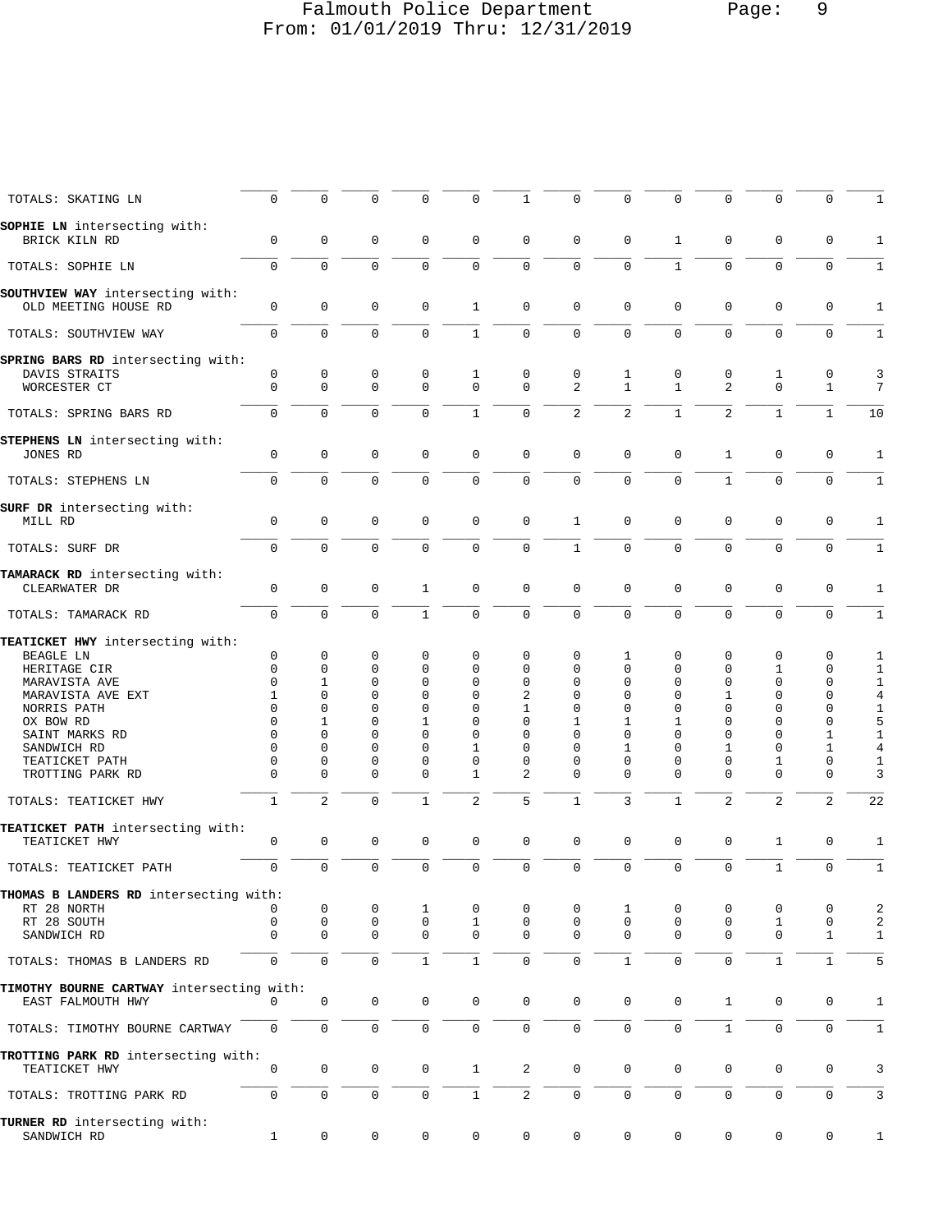## Falmouth Police Department Page: 9 From: 01/01/2019 Thru: 12/31/2019

| TOTALS: SKATING LN                                                 | $\mathbf 0$                | $\mathbf 0$                | $\Omega$                   | 0                | 0                | 1                          | $\Omega$             | 0                 | $\Omega$                    | $\mathbf 0$                   | $\Omega$                   | 0                           | 1                                |
|--------------------------------------------------------------------|----------------------------|----------------------------|----------------------------|------------------|------------------|----------------------------|----------------------|-------------------|-----------------------------|-------------------------------|----------------------------|-----------------------------|----------------------------------|
| <b>SOPHIE LN</b> intersecting with:<br>BRICK KILN RD               | $\mathbf 0$                | $\mathbf 0$                | $\mathbf 0$                | 0                | $\mathbf 0$      | $\mathbf 0$                | $\mathbf 0$          | 0                 | $\mathbf{1}$                | $\mathbf 0$                   | $\mathbf 0$                | 0                           | 1                                |
| TOTALS: SOPHIE LN                                                  | $\mathbf 0$                | $\Omega$                   | $\Omega$                   | $\Omega$         | $\Omega$         | $\Omega$                   | $\Omega$             | $\Omega$          | $\mathbf{1}$                | $\Omega$                      | $\Omega$                   | $\Omega$                    | $\mathbf{1}$                     |
| SOUTHVIEW WAY intersecting with:<br>OLD MEETING HOUSE RD           | $\mathsf 0$                | $\mathbf 0$                | 0                          | 0                | $\mathbf{1}$     | $\mathbf 0$                | $\mathbf 0$          | $\mathbf 0$       | $\mathbf 0$                 | $\mathsf 0$                   | 0                          | 0                           | 1                                |
| TOTALS: SOUTHVIEW WAY                                              | $\mathbf 0$                | $\mathbf 0$                | $\mathbf 0$                | $\mathbf 0$      | $\mathbf{1}$     | $\mathbf 0$                | $\mathbf 0$          | 0                 | $\mathbf 0$                 | $\mathbf 0$                   | $\mathbf 0$                | 0                           | $\mathbf{1}$                     |
| SPRING BARS RD intersecting with:<br>DAVIS STRAITS<br>WORCESTER CT | $\mathsf 0$<br>$\mathbf 0$ | $\mathbf 0$<br>$\mathbf 0$ | $\mathbf 0$<br>$\mathbf 0$ | 0<br>$\mathbf 0$ | 1<br>$\mathbf 0$ | $\mathbf 0$<br>$\mathbf 0$ | $\mathbf 0$<br>2     | 1<br>$\mathbf{1}$ | $\mathbf 0$<br>$\mathbf{1}$ | $\mathsf 0$<br>$\overline{2}$ | 1<br>$\Omega$              | $\mathsf 0$<br>$\mathbf{1}$ | 3<br>7                           |
| TOTALS: SPRING BARS RD                                             | $\Omega$                   | $\Omega$                   | $\Omega$                   | $\Omega$         | $\mathbf{1}$     | $\mathbf 0$                | $\overline{a}$       | $\overline{a}$    | $\mathbf{1}$                | $\overline{2}$                | $\mathbf{1}$               | $\mathbf{1}$                | 10                               |
|                                                                    |                            |                            |                            |                  |                  |                            |                      |                   |                             |                               |                            |                             |                                  |
| STEPHENS LN intersecting with:<br>JONES RD                         | 0                          | $\mathbf 0$                | $\mathbf 0$                | $\mathbf 0$      | $\mathbf 0$      | $\mathbf 0$                | $\mathbf 0$          | 0                 | $\mathbf 0$                 | $\mathbf{1}$                  | $\mathbf 0$                | $\mathsf 0$                 | 1                                |
| TOTALS: STEPHENS LN                                                | $\mathbf 0$                | $\mathbf 0$                | $\mathbf 0$                | 0                | $\mathbf 0$      | $\mathbf 0$                | $\mathbf 0$          | 0                 | $\mathbf 0$                 | $\mathbf{1}$                  | $\mathbf 0$                | 0                           | $\mathbf{1}$                     |
| SURF DR intersecting with:                                         |                            |                            |                            |                  |                  |                            |                      |                   |                             |                               |                            |                             |                                  |
| MILL RD                                                            | $\mathsf 0$                | $\mathbf 0$                | 0                          | 0                | $\mathbf 0$      | $\mathbf 0$                | $\mathbf{1}$         | $\mathbf 0$       | $\mathbf 0$                 | $\mathsf 0$                   | $\mathbf 0$                | 0                           | 1                                |
| TOTALS: SURF DR                                                    | $\mathbf 0$                | $\mathbf 0$                | $\mathbf 0$                | 0                | $\mathbf 0$      | $\mathbf 0$                | $\mathbf{1}$         | $\mathbf 0$       | $\mathbf 0$                 | $\mathbf 0$                   | 0                          | 0                           | $\mathbf{1}$                     |
| TAMARACK RD intersecting with:<br>CLEARWATER DR                    | $\mathsf 0$                | $\mathbf 0$                | $\mathbf 0$                | 1                | $\mathbf{0}$     | $\mathbf 0$                | $\mathbf 0$          | $\mathbf 0$       | $\mathbf 0$                 | $\mathbf 0$                   | $\mathbf 0$                | $\mathbf 0$                 | $\mathbf{1}$                     |
| TOTALS: TAMARACK RD                                                | $\mathbf 0$                | $\mathbf 0$                | $\mathbf 0$                | $\mathbf{1}$     | $\mathbf 0$      | $\mathbf 0$                | $\mathbf 0$          | 0                 | $\Omega$                    | $\mathbf 0$                   | 0                          | 0                           | $\mathbf{1}$                     |
| TEATICKET HWY intersecting with:<br>BEAGLE LN                      | $\mathbf 0$                | $\mathbf 0$                | 0                          | 0                | 0                | 0                          | $\mathbf 0$          | 1                 | 0                           | 0                             | $\mathbf 0$                | 0                           | 1                                |
| HERITAGE CIR                                                       | $\Omega$                   | $\mathbf 0$                | 0                          | 0                | $\Omega$         | 0                          | $\Omega$             | 0                 | 0                           | 0                             | 1                          | 0                           | 1                                |
| MARAVISTA AVE                                                      | $\Omega$                   | 1                          | 0                          | 0                | 0                | 0                          | $\mathbf 0$          | 0                 | $\Omega$                    | 0                             | $\mathbf 0$                | 0                           | $\mathbf{1}$                     |
| MARAVISTA AVE EXT<br>NORRIS PATH                                   | 1<br>$\Omega$              | $\mathbf 0$<br>$\mathbf 0$ | $\mathbf 0$<br>0           | 0<br>0           | $\mathbf 0$<br>0 | 2<br>1                     | $\Omega$<br>$\Omega$ | 0<br>0            | $\Omega$<br>$\Omega$        | $\mathbf{1}$<br>$\Omega$      | $\mathbf 0$<br>$\mathbf 0$ | 0<br>0                      | $\,4$<br>$\mathbf{1}$            |
| OX BOW RD                                                          | $\Omega$                   | 1                          | 0                          | 1                | 0                | 0                          | 1                    | 1                 | 1                           | $\Omega$                      | $\Omega$                   | 0                           | 5                                |
| SAINT MARKS RD                                                     | $\Omega$                   | $\Omega$                   | $\Omega$                   | 0                | 0                | $\Omega$                   | $\Omega$             | $\Omega$          | 0                           | $\Omega$                      | 0                          | $\mathbf 1$                 | $\mathbf{1}$                     |
| SANDWICH RD                                                        | $\Omega$                   | $\mathbf 0$                | 0                          | 0                | 1                | 0                          | $\Omega$             | 1                 | 0                           | 1                             | 0                          | 1                           | $\overline{4}$                   |
| TEATICKET PATH                                                     | $\Omega$                   | $\Omega$                   | 0                          | 0                | $\mathbf 0$      | 0                          | $\Omega$             | 0                 | 0                           | 0                             | 1                          | 0                           | 1                                |
| TROTTING PARK RD                                                   | $\mathbf{0}$               | $\mathbf 0$                | $\mathbf 0$                | 0                | $\mathbf{1}$     | 2                          | $\Omega$             | 0                 | 0                           | 0                             | $\mathbf{0}$               | 0                           | 3                                |
| TOTALS: TEATICKET HWY                                              | $\mathbf{1}$               | $\overline{2}$             | $\mathbf 0$                | 1                | $\mathbf{2}$     | 5                          | $1\,$                | 3                 | $\mathbf{1}$                | $\overline{2}$                | $\overline{2}$             | $\overline{2}$              | 22                               |
| TEATICKET PATH intersecting with:<br>TEATICKET HWY                 | $\mathbf 0$                | 0                          | 0                          | $\mathbf 0$      | $\mathbf 0$      | $\mathbf 0$                | $\mathbf 0$          | 0                 | $\mathbf 0$                 | $\mathbf 0$                   | 1                          | $\mathsf 0$                 | 1                                |
|                                                                    | $\mathbf 0$                | $\mathbf 0$                | $\mathbf 0$                | $\mathbf 0$      | $\mathbf 0$      | $\mathbf 0$                | $\mathbf 0$          | 0                 | $\mathbf 0$                 | $\mathbf 0$                   | $\mathbf{1}$               | $\mathbf 0$                 | $\mathbf{1}$                     |
| TOTALS: TEATICKET PATH                                             |                            |                            |                            |                  |                  |                            |                      |                   |                             |                               |                            |                             |                                  |
| THOMAS B LANDERS RD intersecting with:                             |                            |                            |                            |                  |                  |                            |                      |                   |                             |                               |                            |                             |                                  |
| RT 28 NORTH<br>RT 28 SOUTH                                         | 0                          | 0<br>$\mathbf 0$           | 0<br>0                     | 1<br>0           | 0<br>1           | 0<br>$\mathbf 0$           | 0<br>$\mathbf 0$     | 1<br>$\mathbf 0$  | 0<br>0                      | 0<br>0                        | 0<br>1                     | 0<br>0                      | $\overline{a}$<br>$\overline{a}$ |
| SANDWICH RD                                                        | $\mathbf 0$                | $\mathbf 0$                | $\mathbf 0$                | $\mathbf 0$      | 0                | $\mathbf 0$                | $\Omega$             | $\Omega$          | $\mathbf 0$                 | $\mathbf 0$                   | 0                          | $\mathbf{1}$                | 1                                |
| TOTALS: THOMAS B LANDERS RD                                        | 0                          | $\mathsf 0$                | $\mathbf 0$                | $\mathbf{1}$     | $\mathbf{1}$     | $\mathbf 0$                | $\mathbf 0$          | $\mathbf{1}$      | $\mathbf 0$                 | $\mathbf 0$                   | $\mathbf{1}$               | $\mathbf{1}$                | 5                                |
| TIMOTHY BOURNE CARTWAY intersecting with:                          |                            |                            |                            |                  |                  |                            |                      |                   |                             |                               |                            |                             |                                  |
| EAST FALMOUTH HWY                                                  |                            | 0                          | 0                          | 0                | 0                | 0                          | $\mathbf 0$          | 0                 | 0                           | $\mathbf{1}$                  | 0                          | 0                           | 1                                |
| TOTALS: TIMOTHY BOURNE CARTWAY                                     | $\mathbf 0$                | $\mathbb O$                | $\mathbf 0$                | 0                | $\mathbf 0$      | $\mathbf 0$                | $\mathbf 0$          | 0                 | $\mathbf 0$                 | $\mathbf{1}$                  | $\mathbf{0}$               | 0                           | $\mathbf{1}$                     |
| TROTTING PARK RD intersecting with:<br>TEATICKET HWY               | $\mathbf 0$                | $\mathbf 0$                | 0                          | 0                | $\mathbf{1}$     | $\overline{c}$             | $\mathbf 0$          | 0                 | $\mathbf 0$                 | $\mathsf 0$                   | 0                          | 0                           | 3                                |
| TOTALS: TROTTING PARK RD                                           | $\mathbf 0$                | $\mathsf{O}\xspace$        | 0                          | $\mathbf 0$      | $\mathbf{1}$     | $\overline{2}$             | $\mathbf 0$          | 0                 | $\mathbf 0$                 | $\mathbf 0$                   | 0                          | 0                           | $\mathbf{3}$                     |
| TURNER RD intersecting with:<br>SANDWICH RD                        | $\mathbf{1}$               | $\mathsf{O}\xspace$        | 0                          | 0                | 0                | $\mathsf 0$                | $\mathsf{O}\xspace$  | 0                 | 0                           | 0                             | 0                          | 0                           | $\mathbf{1}$                     |
|                                                                    |                            |                            |                            |                  |                  |                            |                      |                   |                             |                               |                            |                             |                                  |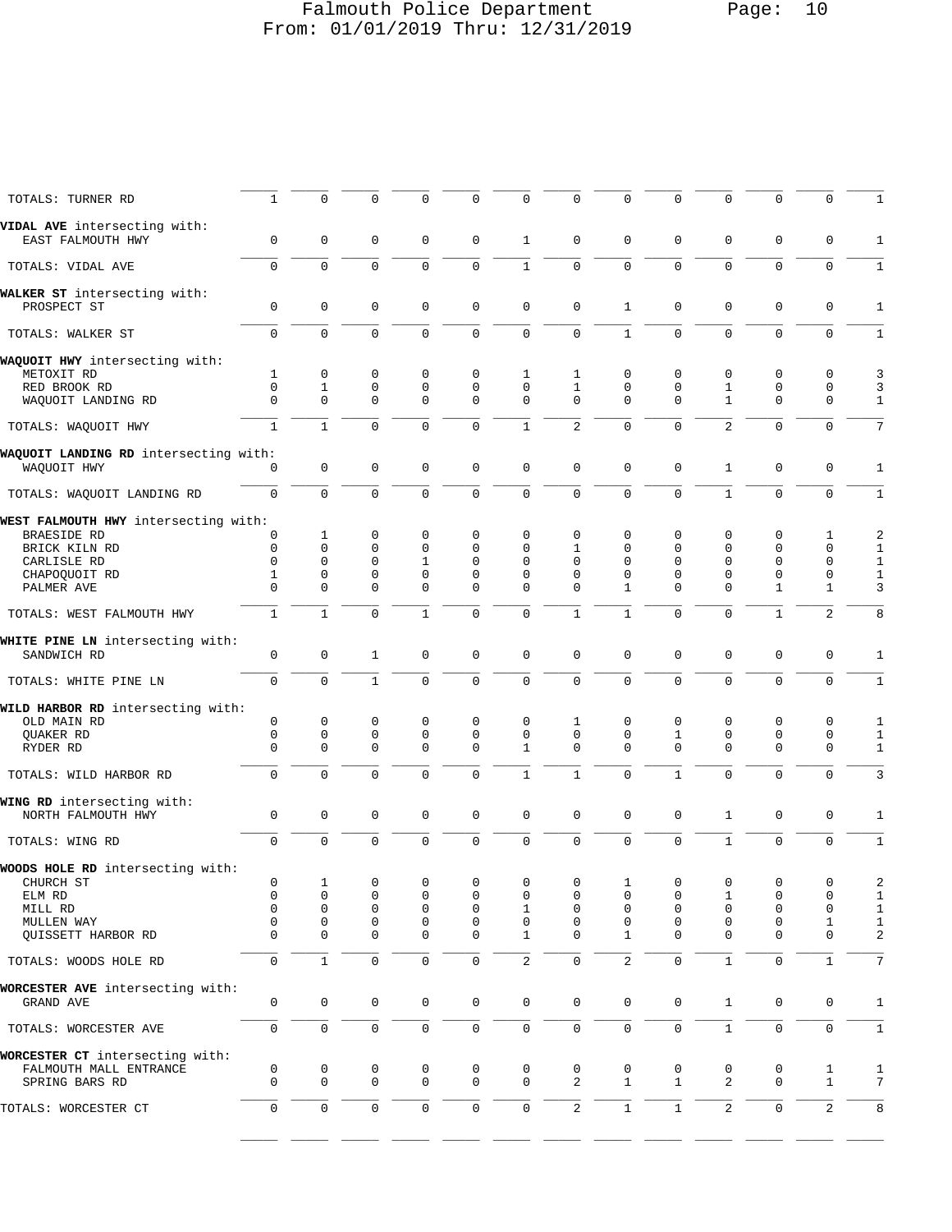## Falmouth Police Department Page: 10 From: 01/01/2019 Thru: 12/31/2019

| TOTALS: TURNER RD                                 | 1                | $\mathsf 0$                | 0                | $\mathbf 0$                 | 0                   | 0                 | 0                          | $\mathbf 0$       | $\mathbf 0$                | 0                | 0                 | $\mathbf 0$       | 1                            |
|---------------------------------------------------|------------------|----------------------------|------------------|-----------------------------|---------------------|-------------------|----------------------------|-------------------|----------------------------|------------------|-------------------|-------------------|------------------------------|
| VIDAL AVE intersecting with:<br>EAST FALMOUTH HWY | $\mathbf 0$      | $\mathsf 0$                | 0                | $\mathbf 0$                 | $\mathbf 0$         | $\mathbf{1}$      | $\mathbf 0$                | $\mathbf{0}$      | $\mathbf 0$                | 0                | $\mathbf{0}$      | $\mathbf 0$       | 1                            |
| TOTALS: VIDAL AVE                                 | $\mathbf 0$      | $\mathbf 0$                | $\mathbf 0$      | $\Omega$                    | 0                   | $\mathbf{1}$      | $\mathbf 0$                | $\Omega$          | $\Omega$                   | $\mathbf 0$      | $\mathbf 0$       | $\mathbf 0$       | $\mathbf{1}$                 |
| WALKER ST intersecting with:<br>PROSPECT ST       | 0                | $\mathsf 0$                | 0                | $\mathbf 0$                 | $\mathsf 0$         | 0                 | $\mathsf 0$                | 1                 | 0                          | 0                | $\mathsf 0$       | $\mathbf 0$       | 1                            |
| TOTALS: WALKER ST                                 | $\mathbf 0$      | $\mathsf{O}\xspace$        | $\mathsf 0$      | $\mathbf 0$                 | 0                   | $\mathsf 0$       | $\mathsf 0$                | $\mathbf 1$       | $\mathbf 0$                | $\mathsf 0$      | $\mathsf 0$       | $\mathbf 0$       | $1\,$                        |
|                                                   |                  |                            |                  |                             |                     |                   |                            |                   |                            |                  |                   |                   |                              |
| WAQUOIT HWY intersecting with:<br>METOXIT RD      | 1                | 0                          | 0                | 0                           | 0                   | 1                 | 1                          | 0                 | 0                          | 0                | 0                 | $\mathbf 0$       | 3                            |
| RED BROOK RD                                      | $\mathbf 0$      | $\mathbf{1}$               | 0                | $\mathbf 0$                 | $\mathsf 0$         | $\mathbf 0$       | $\mathbf{1}$               | 0                 | $\mathbf 0$                | 1                | $\mathsf 0$       | $\mathbf 0$       | 3                            |
| WAQUOIT LANDING RD                                | $\mathbf 0$      | $\mathbf 0$                | $\mathbf 0$      | $\mathbf{0}$                | $\mathbf 0$         | 0                 | $\Omega$                   | $\mathbf{0}$      | $\mathbf 0$                | $\mathbf{1}$     | $\mathbf{0}$      | $\mathbf 0$       | $\mathbf{1}$                 |
| TOTALS: WAQUOIT HWY                               | $\mathbf{1}$     | $\mathbf{1}$               | $\mathbf 0$      | $\mathbf 0$                 | 0                   | $\mathbf{1}$      | $\overline{2}$             | $\Omega$          | $\Omega$                   | $\overline{2}$   | $\mathbf 0$       | $\mathbf 0$       | 7                            |
| WAQUOIT LANDING RD intersecting with:             |                  |                            |                  |                             |                     |                   |                            |                   |                            |                  |                   |                   |                              |
| WAQUOIT HWY                                       | 0                | $\mathbf 0$                | 0                | $\mathbf 0$                 | $\mathsf 0$         | $\mathsf 0$       | $\mathbf 0$                | $\mathbf{0}$      | 0                          | $\mathbf{1}$     | $\mathsf 0$       | $\mathbf 0$       | 1                            |
| TOTALS: WAOUOIT LANDING RD                        | $\mathbf 0$      | $\mathbf 0$                | $\mathbf 0$      | $\mathbf 0$                 | 0                   | $\mathbf 0$       | $\mathbf 0$                | 0                 | $\mathbf 0$                | $\mathbf{1}$     | $\mathbf 0$       | $\mathbf 0$       | $\mathbf{1}$                 |
| WEST FALMOUTH HWY intersecting with:              |                  |                            |                  |                             |                     |                   |                            |                   |                            |                  |                   |                   |                              |
| <b>BRAESIDE RD</b>                                | 0                | 1                          | 0                | 0                           | 0                   | 0                 | 0                          | $\mathbf 0$       | 0                          | 0                | 0                 | 1                 | 2                            |
| BRICK KILN RD                                     | 0                | $\mathbf 0$                | $\mathbf 0$      | $\mathbf{0}$                | 0                   | 0                 | $\mathbf{1}$               | $\mathbf 0$       | $\mathbf 0$                | $\mathbf 0$      | $\mathbf 0$       | $\mathbf 0$       | 1                            |
| CARLISLE RD                                       | 0                | $\mathbf 0$                | 0                | $\mathbf{1}$                | $\mathbf 0$         | 0                 | $\mathbf 0$                | $\mathbf 0$       | $\mathbf 0$                | 0                | $\mathbf 0$       | $\mathbf 0$       | $1\,$                        |
| CHAPOQUOIT RD<br>PALMER AVE                       | 1<br>$\mathbf 0$ | 0<br>$\mathbf 0$           | 0<br>$\mathbf 0$ | $\mathbf 0$<br>$\Omega$     | 0<br>0              | 0<br>$\Omega$     | 0<br>$\Omega$              | $\mathbf 0$<br>1  | 0<br>$\mathbf 0$           | 0<br>$\mathbf 0$ | 0<br>$\mathbf{1}$ | 0<br>$\mathbf{1}$ | $\mathbf{1}$<br>3            |
| TOTALS: WEST FALMOUTH HWY                         | $\mathbf{1}$     | $\mathbf{1}$               | $\mathbf 0$      | $\mathbf{1}$                | $\Omega$            | 0                 | $1\,$                      | $\mathbf{1}$      | $\mathbf 0$                | $\mathbf 0$      | $1\,$             | $\overline{2}$    | 8                            |
| WHITE PINE LN intersecting with:                  |                  |                            |                  |                             |                     |                   |                            |                   |                            |                  |                   |                   |                              |
| SANDWICH RD                                       | $\mathsf 0$      | $\mathbf 0$                | $\mathbf{1}$     | $\mathbf 0$                 | $\mathsf 0$         | $\mathsf 0$       | $\mathsf 0$                | $\mathbf{0}$      | 0                          | 0                | $\mathbf 0$       | $\mathbf 0$       | 1                            |
| TOTALS: WHITE PINE LN                             | $\mathbf 0$      | $\mathsf{O}\xspace$        | $\mathbf{1}$     | $\mathbf 0$                 | $\mathbf 0$         | $\mathbf 0$       | $\mathsf 0$                | 0                 | $\mathbf 0$                | 0                | $\mathbf 0$       | $\mathbf 0$       | $\mathbf{1}$                 |
| WILD HARBOR RD intersecting with:                 |                  |                            |                  |                             |                     |                   |                            |                   |                            |                  |                   |                   |                              |
| OLD MAIN RD                                       | 0                | $\mathsf 0$                | 0                | 0                           | 0                   | 0                 | 1                          | $\mathbf 0$       | 0                          | 0                | 0                 | $\mathbf 0$       | 1                            |
| QUAKER RD<br>RYDER RD                             | 0<br>0           | $\mathbf 0$<br>$\mathbf 0$ | 0<br>$\mathbf 0$ | $\mathbf{0}$<br>$\mathbf 0$ | 0<br>$\mathbf 0$    | 0<br>$\mathbf{1}$ | $\mathbf 0$<br>$\mathbf 0$ | 0<br>$\mathbf{0}$ | $\mathbf 1$<br>$\mathbf 0$ | 0<br>0           | 0<br>$\mathbf 0$  | $\mathbf 0$<br>0  | 1<br>$\mathbf{1}$            |
|                                                   |                  |                            |                  |                             |                     |                   |                            |                   |                            |                  |                   |                   |                              |
| TOTALS: WILD HARBOR RD                            | $\mathbf 0$      | $\mathbf 0$                | $\mathbf 0$      | $\mathbf{0}$                | $\mathbf 0$         | $\mathbf{1}$      | $1\,$                      | 0                 | $\mathbf 1$                | $\mathbf 0$      | $\mathbf 0$       | $\mathbf 0$       | $\mathbf{3}$                 |
| WING RD intersecting with:                        |                  |                            |                  |                             |                     |                   |                            |                   |                            |                  |                   |                   |                              |
| NORTH FALMOUTH HWY                                | 0                | $\mathbf 0$                | $\mathbf 0$      | $\mathbf 0$                 | $\mathsf 0$         | $\mathsf 0$       | $\mathbf 0$                | $\mathbf 0$       | 0                          | $\mathbf{1}$     | $\mathbf 0$       | $\mathbf 0$       | 1                            |
| TOTALS: WING RD                                   | $\mathbf 0$      | $\mathbf 0$                | $\mathbf 0$      | $\mathbf{0}$                | 0                   | $\mathbf 0$       | $\mathbf 0$                | 0                 | $\mathbf 0$                | $\mathbf{1}$     | $\mathbf{0}$      | $\mathbf 0$       | $1\,$                        |
| WOODS HOLE RD intersecting with:                  |                  |                            |                  |                             |                     |                   |                            |                   |                            |                  |                   |                   |                              |
| CHURCH ST                                         | 0                |                            | 0                | 0                           | 0                   | 0                 | 0                          | Ŧ                 | $\mathbf 0$                | 0                | 0                 | 0                 | 2                            |
| ELM RD                                            | 0                | 0                          | 0                | 0                           | 0                   | 0                 | 0                          | 0                 | 0                          | 1                | 0                 | 0                 | $\mathbf{1}$                 |
| MILL RD<br>MULLEN WAY                             | 0<br>0           | $\mathsf 0$<br>0           | 0<br>0           | $\mathbf 0$<br>0            | $\mathsf 0$<br>0    | 1<br>0            | 0<br>0                     | 0<br>0            | $\mathbf 0$<br>0           | 0<br>0           | 0<br>0            | $\mathbf 0$<br>1  | $\mathbf{1}$<br>$\mathbf{1}$ |
| QUISSETT HARBOR RD                                | $\mathbf 0$      | $\mathbf 0$                | 0                | $\mathbf{0}$                | $\mathsf 0$         | $\mathbf{1}$      | $\mathbf 0$                | $\mathbf{1}$      | $\mathbf 0$                | 0                | $\mathbf{0}$      | $\mathbf 0$       | $\sqrt{2}$                   |
| TOTALS: WOODS HOLE RD                             | 0                | $\mathbf{1}$               | $\mathsf 0$      | 0                           | 0                   | 2                 | $\mathsf 0$                | $\overline{a}$    | $\mathbf 0$                | $\mathbf 1$      | $\mathbf 0$       | $1\,$             | 7                            |
| WORCESTER AVE intersecting with:                  |                  |                            |                  |                             |                     |                   |                            |                   |                            |                  |                   |                   |                              |
| GRAND AVE                                         | 0                | $\mathbf 0$                | $\mathbf 0$      | $\mathbf 0$                 | $\mathbf 0$         | 0                 | $\mathbf 0$                | $\mathbf 0$       | $\mathbf 0$                | $\mathbf{1}$     | 0                 | 0                 | 1                            |
| TOTALS: WORCESTER AVE                             | $\mathbf 0$      | $\mathsf{O}\xspace$        | $\mathsf 0$      | 0                           | 0                   | 0                 | $\mathsf 0$                | 0                 | $\mathsf 0$                | $\mathbf{1}$     | $\mathsf 0$       | $\mathbf 0$       | $\mathbf{1}$                 |
| WORCESTER CT intersecting with:                   |                  |                            |                  |                             |                     |                   |                            |                   |                            |                  |                   |                   |                              |
| FALMOUTH MALL ENTRANCE                            | 0                | 0                          | 0                | 0                           | 0                   | 0                 | 0                          | 0                 | 0                          | 0                | 0                 | 1                 | 1                            |
| SPRING BARS RD                                    | $\mathbf 0$      | $\mathsf 0$                | $\mathsf 0$      | $\mathbf 0$                 | $\mathsf 0$         | 0                 | $\overline{a}$             | $\mathbf{1}$      | $\mathbf 1$                | 2                | $\mathbf 0$       | $1\,$             | 7                            |
| TOTALS: WORCESTER CT                              | 0                | $\mathsf 0$                | $\mathsf 0$      | $\mathsf{O}\xspace$         | $\mathsf{O}\xspace$ | $\mathsf 0$       | $\overline{c}$             | $\mathbf{1}$      | $\mathbf{1}$               | $\overline{c}$   | $\mathsf 0$       | $\overline{2}$    | 8                            |
|                                                   |                  |                            |                  |                             |                     |                   |                            |                   |                            |                  |                   |                   |                              |